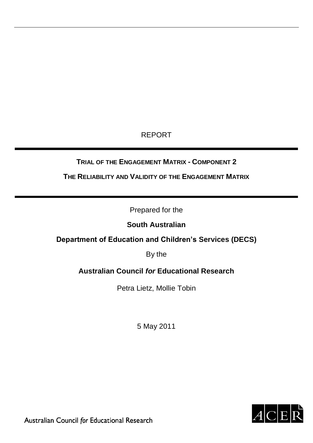# REPORT

# **TRIAL OF THE ENGAGEMENT MATRIX - COMPONENT 2**

**THE RELIABILITY AND VALIDITY OF THE ENGAGEMENT MATRIX**

Prepared for the

# **South Australian**

# **Department of Education and Children's Services (DECS)**

By the

# **Australian Council** *for* **Educational Research**

Petra Lietz, Mollie Tobin

5 May 2011



Australian Council for Educational Research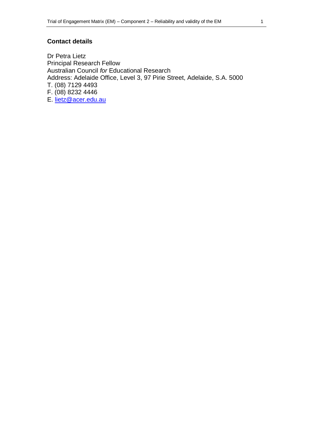## **Contact details**

Dr Petra Lietz Principal Research Fellow Australian Council *for* Educational Research Address: Adelaide Office, Level 3, 97 Pirie Street, Adelaide, S.A. 5000 T. (08) 7129 4493 F. (08) 8232 4446 E. [lietz@acer.edu.au](mailto:lietz@acer.edu.au)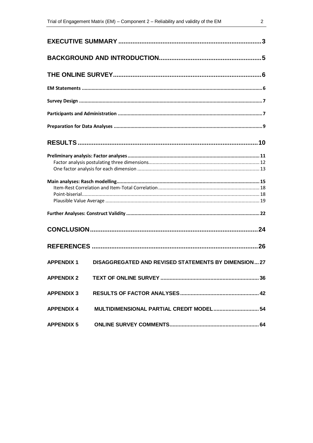| <b>APPENDIX 1</b> | <b>DISAGGREGATED AND REVISED STATEMENTS BY DIMENSION27</b> |  |
|-------------------|------------------------------------------------------------|--|
|                   |                                                            |  |
| <b>APPENDIX 3</b> |                                                            |  |
|                   | APPENDIX 4 MULTIDIMENSIONAL PARTIAL CREDIT MODEL 54        |  |
|                   |                                                            |  |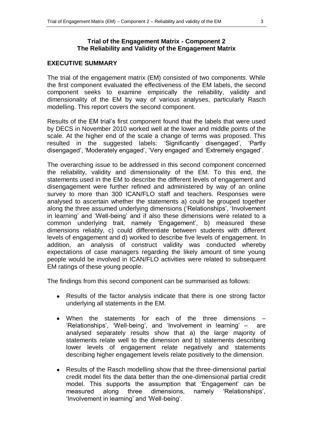## **EXECUTIVE SUMMARY**

The trial of the engagement matrix (EM) consisted of two components. While the first component evaluated the effectiveness of the EM labels, the second component seeks to examine empirically the reliability, validity and dimensionality of the EM by way of various analyses, particularly Rasch modelling. This report covers the second component.

Results of the EM trial"s first component found that the labels that were used by DECS in November 2010 worked well at the lower and middle points of the scale. At the higher end of the scale a change of terms was proposed. This resulted in the suggested labels: 'Significantly disengaged', 'Partly disengaged', 'Moderately engaged', 'Very engaged' and 'Extremely engaged'.

The overarching issue to be addressed in this second component concerned the reliability, validity and dimensionality of the EM. To this end, the statements used in the EM to describe the different levels of engagement and disengagement were further refined and administered by way of an online survey to more than 300 ICAN/FLO staff and teachers. Responses were analysed to ascertain whether the statements a) could be grouped together along the three assumed underlying dimensions ('Relationships', 'Involvement in learning' and 'Well-being' and if also these dimensions were related to a common underlying trait, namely "Engagement", b) measured these dimensions reliably, c) could differentiate between students with different levels of engagement and d) worked to describe five levels of engagement. In addition, an analysis of construct validity was conducted whereby expectations of case managers regarding the likely amount of time young people would be involved in ICAN/FLO activities were related to subsequent EM ratings of these young people.

The findings from this second component can be summarised as follows:

- Results of the factor analysis indicate that there is one strong factor  $\bullet$ underlying all statements in the EM.
- When the statements for each of the three dimensions 'Relationships', 'Well-being', and 'Involvement in learning' – are analysed separately results show that a) the large majority of statements relate well to the dimension and b) statements describing lower levels of engagement relate negatively and statements describing higher engagement levels relate positively to the dimension.
- Results of the Rasch modelling show that the three-dimensional partial  $\bullet$ credit model fits the data better than the one-dimensional partial credit model. This supports the assumption that "Engagement" can be measured along three dimensions, namely "Relationships", 'Involvement in learning' and 'Well-being'.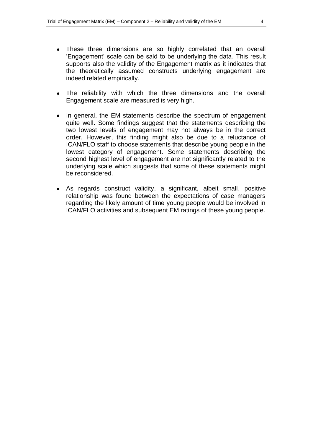- These three dimensions are so highly correlated that an overall  $\bullet$ "Engagement" scale can be said to be underlying the data. This result supports also the validity of the Engagement matrix as it indicates that the theoretically assumed constructs underlying engagement are indeed related empirically.
- The reliability with which the three dimensions and the overall  $\bullet$ Engagement scale are measured is very high.
- In general, the EM statements describe the spectrum of engagement  $\bullet$ quite well. Some findings suggest that the statements describing the two lowest levels of engagement may not always be in the correct order. However, this finding might also be due to a reluctance of ICAN/FLO staff to choose statements that describe young people in the lowest category of engagement. Some statements describing the second highest level of engagement are not significantly related to the underlying scale which suggests that some of these statements might be reconsidered.
- As regards construct validity, a significant, albeit small, positive relationship was found between the expectations of case managers regarding the likely amount of time young people would be involved in ICAN/FLO activities and subsequent EM ratings of these young people.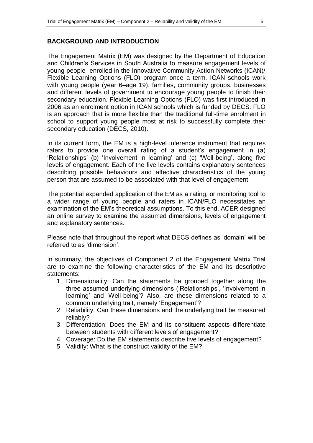#### **BACKGROUND AND INTRODUCTION**

The Engagement Matrix (EM) was designed by the Department of Education and Children"s Services in South Australia to measure engagement levels of young people enrolled in the Innovative Community Action Networks (ICAN)/ Flexible Learning Options (FLO) program once a term. ICAN schools work with young people (year 6–age 19), families, community groups, businesses and different levels of government to encourage young people to finish their secondary education. Flexible Learning Options (FLO) was first introduced in 2006 as an enrolment option in ICAN schools which is funded by DECS. FLO is an approach that is more flexible than the traditional full-time enrolment in school to support young people most at risk to successfully complete their secondary education (DECS, 2010).

In its current form, the EM is a high-level inference instrument that requires raters to provide one overall rating of a student's engagement in (a) 'Relationships' (b) 'Involvement in learning' and (c) 'Well-being', along five levels of engagement. Each of the five levels contains explanatory sentences describing possible behaviours and affective characteristics of the young person that are assumed to be associated with that level of engagement.

The potential expanded application of the EM as a rating, or monitoring tool to a wider range of young people and raters in ICAN/FLO necessitates an examination of the EM"s theoretical assumptions. To this end, ACER designed an online survey to examine the assumed dimensions, levels of engagement and explanatory sentences.

Please note that throughout the report what DECS defines as "domain" will be referred to as 'dimension'.

In summary, the objectives of Component 2 of the Engagement Matrix Trial are to examine the following characteristics of the EM and its descriptive statements:

- 1. Dimensionality: Can the statements be grouped together along the three assumed underlying dimensions ('Relationships', 'Involvement in learning' and 'Well-being'? Also, are these dimensions related to a common underlying trait, namely "Engagement"?
- 2. Reliability: Can these dimensions and the underlying trait be measured reliably?
- 3. Differentiation: Does the EM and its constituent aspects differentiate between students with different levels of engagement?
- 4. Coverage: Do the EM statements describe five levels of engagement?
- 5. Validity: What is the construct validity of the EM?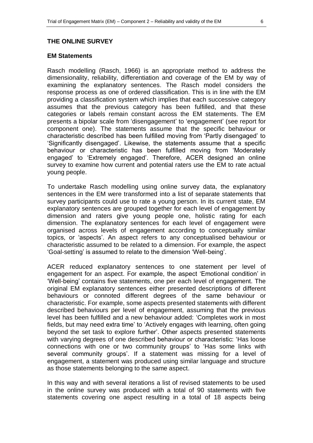#### **THE ONLINE SURVEY**

#### **EM Statements**

Rasch modelling (Rasch, 1966) is an appropriate method to address the dimensionality, reliability, differentiation and coverage of the EM by way of examining the explanatory sentences. The Rasch model considers the response process as one of ordered classification. This is in line with the EM providing a classification system which implies that each successive category assumes that the previous category has been fulfilled, and that these categories or labels remain constant across the EM statements. The EM presents a bipolar scale from "disengagement" to "engagement" (see report for component one). The statements assume that the specific behaviour or characteristic described has been fulfilled moving from "Partly disengaged" to "Significantly disengaged". Likewise, the statements assume that a specific behaviour or characteristic has been fulfilled moving from "Moderately engaged" to "Extremely engaged". Therefore, ACER designed an online survey to examine how current and potential raters use the EM to rate actual young people.

To undertake Rasch modelling using online survey data, the explanatory sentences in the EM were transformed into a list of separate statements that survey participants could use to rate a young person. In its current state, EM explanatory sentences are grouped together for each level of engagement by dimension and raters give young people one, holistic rating for each dimension. The explanatory sentences for each level of engagement were organised across levels of engagement according to conceptually similar topics, or "aspects". An aspect refers to any conceptualised behaviour or characteristic assumed to be related to a dimension. For example, the aspect "Goal-setting" is assumed to relate to the dimension "Well-being".

ACER reduced explanatory sentences to one statement per level of engagement for an aspect. For example, the aspect "Emotional condition" in "Well-being" contains five statements, one per each level of engagement. The original EM explanatory sentences either presented descriptions of different behaviours or connoted different degrees of the same behaviour or characteristic. For example, some aspects presented statements with different described behaviours per level of engagement, assuming that the previous level has been fulfilled and a new behaviour added: "Completes work in most fields, but may need extra time' to 'Actively engages with learning, often going beyond the set task to explore further". Other aspects presented statements with varying degrees of one described behaviour or characteristic: "Has loose connections with one or two community groups" to "Has some links with several community groups'. If a statement was missing for a level of engagement, a statement was produced using similar language and structure as those statements belonging to the same aspect.

In this way and with several iterations a list of revised statements to be used in the online survey was produced with a total of 90 statements with five statements covering one aspect resulting in a total of 18 aspects being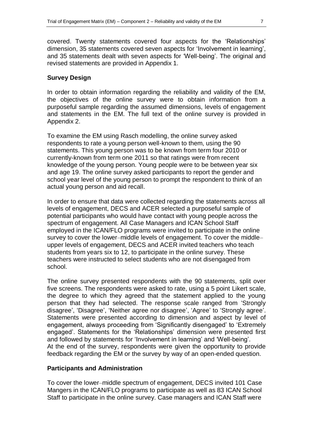covered. Twenty statements covered four aspects for the "Relationships" dimension, 35 statements covered seven aspects for "Involvement in learning", and 35 statements dealt with seven aspects for "Well-being". The original and revised statements are provided in Appendix 1.

#### **Survey Design**

In order to obtain information regarding the reliability and validity of the EM, the objectives of the online survey were to obtain information from a purposeful sample regarding the assumed dimensions, levels of engagement and statements in the EM. The full text of the online survey is provided in Appendix 2.

To examine the EM using Rasch modelling, the online survey asked respondents to rate a young person well-known to them, using the 90 statements. This young person was to be known from term four 2010 or currently-known from term one 2011 so that ratings were from recent knowledge of the young person. Young people were to be between year six and age 19. The online survey asked participants to report the gender and school year level of the young person to prompt the respondent to think of an actual young person and aid recall.

In order to ensure that data were collected regarding the statements across all levels of engagement, DECS and ACER selected a purposeful sample of potential participants who would have contact with young people across the spectrum of engagement. All Case Managers and ICAN School Staff employed in the ICAN/FLO programs were invited to participate in the online survey to cover the lower–middle levels of engagement. To cover the middle– upper levels of engagement, DECS and ACER invited teachers who teach students from years six to 12, to participate in the online survey. These teachers were instructed to select students who are not disengaged from school.

The online survey presented respondents with the 90 statements, split over five screens. The respondents were asked to rate, using a 5 point Likert scale, the degree to which they agreed that the statement applied to the young person that they had selected. The response scale ranged from "Strongly disagree', 'Disagree', 'Neither agree nor disagree', 'Agree' to 'Strongly agree'. Statements were presented according to dimension and aspect by level of engagement, always proceeding from "Significantly disengaged" to "Extremely engaged". Statements for the "Relationships" dimension were presented first and followed by statements for 'Involvement in learning' and 'Well-being'. At the end of the survey, respondents were given the opportunity to provide feedback regarding the EM or the survey by way of an open-ended question.

## **Participants and Administration**

To cover the lower–middle spectrum of engagement, DECS invited 101 Case Mangers in the ICAN/FLO programs to participate as well as 83 ICAN School Staff to participate in the online survey. Case managers and ICAN Staff were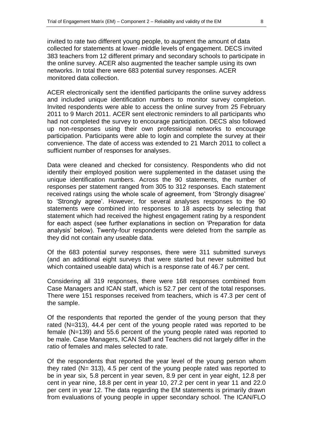invited to rate two different young people, to augment the amount of data collected for statements at lower–middle levels of engagement. DECS invited 383 teachers from 12 different primary and secondary schools to participate in the online survey. ACER also augmented the teacher sample using its own networks. In total there were 683 potential survey responses. ACER monitored data collection.

ACER electronically sent the identified participants the online survey address and included unique identification numbers to monitor survey completion. Invited respondents were able to access the online survey from 25 February 2011 to 9 March 2011. ACER sent electronic reminders to all participants who had not completed the survey to encourage participation. DECS also followed up non-responses using their own professional networks to encourage participation. Participants were able to login and complete the survey at their convenience. The date of access was extended to 21 March 2011 to collect a sufficient number of responses for analyses.

Data were cleaned and checked for consistency. Respondents who did not identify their employed position were supplemented in the dataset using the unique identification numbers. Across the 90 statements, the number of responses per statement ranged from 305 to 312 responses. Each statement received ratings using the whole scale of agreement, from "Strongly disagree" to "Strongly agree". However, for several analyses responses to the 90 statements were combined into responses to 18 aspects by selecting that statement which had received the highest engagement rating by a respondent for each aspect (see further explanations in section on "Preparation for data analysis" below). Twenty-four respondents were deleted from the sample as they did not contain any useable data.

Of the 683 potential survey responses, there were 311 submitted surveys (and an additional eight surveys that were started but never submitted but which contained useable data) which is a response rate of 46.7 per cent.

Considering all 319 responses, there were 168 responses combined from Case Managers and ICAN staff, which is 52.7 per cent of the total responses. There were 151 responses received from teachers, which is 47.3 per cent of the sample.

Of the respondents that reported the gender of the young person that they rated (N=313), 44.4 per cent of the young people rated was reported to be female (N=139) and 55.6 percent of the young people rated was reported to be male. Case Managers, ICAN Staff and Teachers did not largely differ in the ratio of females and males selected to rate.

Of the respondents that reported the year level of the young person whom they rated  $(N= 313)$ , 4.5 per cent of the young people rated was reported to be in year six, 5.8 percent in year seven, 8.9 per cent in year eight, 12.8 per cent in year nine, 18.8 per cent in year 10, 27.2 per cent in year 11 and 22.0 per cent in year 12. The data regarding the EM statements is primarily drawn from evaluations of young people in upper secondary school. The ICAN/FLO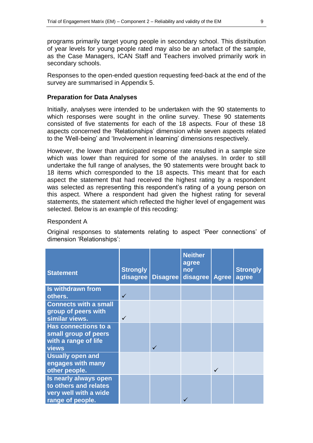programs primarily target young people in secondary school. This distribution of year levels for young people rated may also be an artefact of the sample, as the Case Managers, ICAN Staff and Teachers involved primarily work in secondary schools.

Responses to the open-ended question requesting feed-back at the end of the survey are summarised in Appendix 5.

#### **Preparation for Data Analyses**

Initially, analyses were intended to be undertaken with the 90 statements to which responses were sought in the online survey. These 90 statements consisted of five statements for each of the 18 aspects. Four of these 18 aspects concerned the "Relationships" dimension while seven aspects related to the "Well-being" and "Involvement in learning" dimensions respectively.

However, the lower than anticipated response rate resulted in a sample size which was lower than required for some of the analyses. In order to still undertake the full range of analyses, the 90 statements were brought back to 18 items which corresponded to the 18 aspects. This meant that for each aspect the statement that had received the highest rating by a respondent was selected as representing this respondent's rating of a young person on this aspect. Where a respondent had given the highest rating for several statements, the statement which reflected the higher level of engagement was selected. Below is an example of this recoding:

#### Respondent A

Original responses to statements relating to aspect "Peer connections" of dimension "Relationships":

| <b>Statement</b>                                                                            | <b>Strongly</b><br>disagree | <b>Disagree</b> | <b>Neither</b><br>agree<br>nor<br>disagree | <b>Agree</b> | <b>Strongly</b><br>agree |
|---------------------------------------------------------------------------------------------|-----------------------------|-----------------|--------------------------------------------|--------------|--------------------------|
| <b>Is withdrawn from</b><br>others.                                                         | $\checkmark$                |                 |                                            |              |                          |
| <b>Connects with a small</b><br>group of peers with<br>similar views.                       | $\checkmark$                |                 |                                            |              |                          |
| Has connections to a<br>small group of peers<br>with a range of life<br><b>views</b>        |                             |                 |                                            |              |                          |
| <b>Usually open and</b><br>engages with many<br>other people.                               |                             |                 |                                            | ✓            |                          |
| Is nearly always open<br>to others and relates<br>very well with a wide<br>range of people. |                             |                 |                                            |              |                          |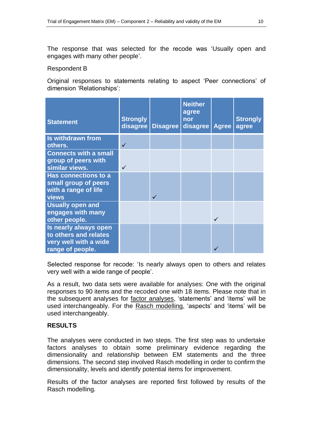The response that was selected for the recode was "Usually open and engages with many other people".

#### Respondent B

Original responses to statements relating to aspect "Peer connections" of dimension "Relationships":

| <b>Statement</b>                                                                            | <b>Strongly</b><br>disagree | Disagree | <b>Neither</b><br>agree<br>nor<br>disagree | <b>Agree</b> | <b>Strongly</b><br>agree |
|---------------------------------------------------------------------------------------------|-----------------------------|----------|--------------------------------------------|--------------|--------------------------|
| <b>Is withdrawn from</b><br>others.                                                         | $\checkmark$                |          |                                            |              |                          |
| <b>Connects with a small</b><br>group of peers with<br>similar views.                       |                             |          |                                            |              |                          |
| Has connections to a<br>small group of peers<br>with a range of life<br><b>views</b>        |                             |          |                                            |              |                          |
| <b>Usually open and</b><br>engages with many<br>other people.                               |                             |          |                                            | $\checkmark$ |                          |
| Is nearly always open<br>to others and relates<br>very well with a wide<br>range of people. |                             |          |                                            |              |                          |

Selected response for recode: "Is nearly always open to others and relates very well with a wide range of people".

As a result, two data sets were available for analyses: One with the original responses to 90 items and the recoded one with 18 items. Please note that in the subsequent analyses for **factor analyses**, 'statements' and 'items' will be used interchangeably. For the Rasch modelling, 'aspects' and 'items' will be used interchangeably.

## **RESULTS**

The analyses were conducted in two steps. The first step was to undertake factors analyses to obtain some preliminary evidence regarding the dimensionality and relationship between EM statements and the three dimensions. The second step involved Rasch modelling in order to confirm the dimensionality, levels and identify potential items for improvement.

Results of the factor analyses are reported first followed by results of the Rasch modelling.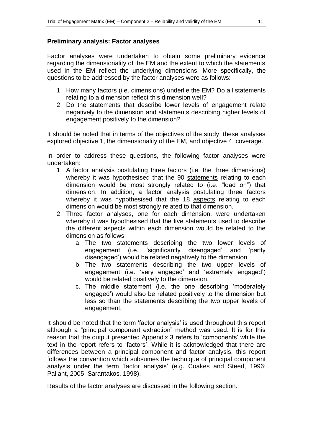## **Preliminary analysis: Factor analyses**

Factor analyses were undertaken to obtain some preliminary evidence regarding the dimensionality of the EM and the extent to which the statements used in the EM reflect the underlying dimensions. More specifically, the questions to be addressed by the factor analyses were as follows:

- 1. How many factors (i.e. dimensions) underlie the EM? Do all statements relating to a dimension reflect this dimension well?
- 2. Do the statements that describe lower levels of engagement relate negatively to the dimension and statements describing higher levels of engagement positively to the dimension?

It should be noted that in terms of the objectives of the study, these analyses explored objective 1, the dimensionality of the EM, and objective 4, coverage.

In order to address these questions, the following factor analyses were undertaken:

- 1. A factor analysis postulating three factors (i.e. the three dimensions) whereby it was hypothesised that the 90 statements relating to each dimension would be most strongly related to (i.e. "load on") that dimension. In addition, a factor analysis postulating three factors whereby it was hypothesised that the 18 aspects relating to each dimension would be most strongly related to that dimension.
- 2. Three factor analyses, one for each dimension, were undertaken whereby it was hypothesised that the five statements used to describe the different aspects within each dimension would be related to the dimension as follows:
	- a. The two statements describing the two lower levels of engagement (i.e. "significantly disengaged" and "partly disengaged") would be related negatively to the dimension.
	- b. The two statements describing the two upper levels of engagement (i.e. "very engaged" and "extremely engaged") would be related positively to the dimension.
	- c. The middle statement (i.e. the one describing "moderately engaged") would also be related positively to the dimension but less so than the statements describing the two upper levels of engagement.

It should be noted that the term 'factor analysis' is used throughout this report although a "principal component extraction" method was used. It is for this reason that the output presented Appendix 3 refers to "components" while the text in the report refers to "factors". While it is acknowledged that there are differences between a principal component and factor analysis, this report follows the convention which subsumes the technique of principal component analysis under the term "factor analysis" (e.g. Coakes and Steed, 1996; Pallant, 2005; Sarantakos, 1998).

Results of the factor analyses are discussed in the following section.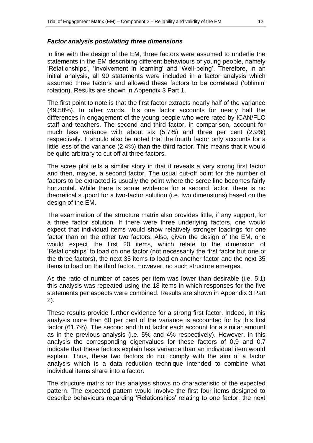In line with the design of the EM, three factors were assumed to underlie the statements in the EM describing different behaviours of young people, namely 'Relationships', 'Involvement in learning' and 'Well-being'. Therefore, in an initial analysis, all 90 statements were included in a factor analysis which assumed three factors and allowed these factors to be correlated ("oblimin" rotation). Results are shown in Appendix 3 Part 1.

The first point to note is that the first factor extracts nearly half of the variance (49.58%). In other words, this one factor accounts for nearly half the differences in engagement of the young people who were rated by ICAN/FLO staff and teachers. The second and third factor, in comparison, account for much less variance with about six (5.7%) and three per cent (2.9%) respectively. It should also be noted that the fourth factor only accounts for a little less of the variance (2.4%) than the third factor. This means that it would be quite arbitrary to cut off at three factors.

The scree plot tells a similar story in that it reveals a very strong first factor and then, maybe, a second factor. The usual cut-off point for the number of factors to be extracted is usually the point where the scree line becomes fairly horizontal. While there is some evidence for a second factor, there is no theoretical support for a two-factor solution (i.e. two dimensions) based on the design of the EM.

The examination of the structure matrix also provides little, if any support, for a three factor solution. If there were three underlying factors, one would expect that individual items would show relatively stronger loadings for one factor than on the other two factors. Also, given the design of the EM, one would expect the first 20 items, which relate to the dimension of "Relationships" to load on one factor (not necessarily the first factor but one of the three factors), the next 35 items to load on another factor and the next 35 items to load on the third factor. However, no such structure emerges.

As the ratio of number of cases per item was lower than desirable (i.e. 5:1) this analysis was repeated using the 18 items in which responses for the five statements per aspects were combined. Results are shown in Appendix 3 Part 2).

These results provide further evidence for a strong first factor. Indeed, in this analysis more than 60 per cent of the variance is accounted for by this first factor (61.7%). The second and third factor each account for a similar amount as in the previous analysis (i.e. 5% and 4% respectively). However, in this analysis the corresponding eigenvalues for these factors of 0.9 and 0.7 indicate that these factors explain less variance than an individual item would explain. Thus, these two factors do not comply with the aim of a factor analysis which is a data reduction technique intended to combine what individual items share into a factor.

The structure matrix for this analysis shows no characteristic of the expected pattern. The expected pattern would involve the first four items designed to describe behaviours regarding "Relationships" relating to one factor, the next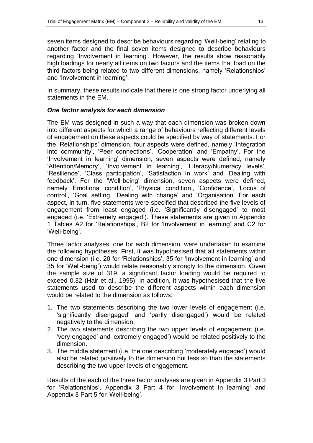seven items designed to describe behaviours regarding "Well-being" relating to another factor and the final seven items designed to describe behaviours regarding 'Involvement in learning'. However, the results show reasonably high loadings for nearly all items on two factors and the items that load on the third factors being related to two different dimensions, namely "Relationships" and "Involvement in learning".

In summary, these results indicate that there is one strong factor underlying all statements in the EM.

## *One factor analysis for each dimension*

The EM was designed in such a way that each dimension was broken down into different aspects for which a range of behaviours reflecting different levels of engagement on these aspects could be specified by way of statements. For the "Relationships" dimension, four aspects were defined, namely "Integration into community', 'Peer connections', 'Cooperation' and 'Empathy'. For the 'Involvement in learning' dimension, seven aspects were defined, namely 'Attention/Memory', 'Involvement in learning', 'Literacy/Numeracy levels', "Resilience", "Class participation", "Satisfaction in work" and "Dealing with feedback'. For the 'Well-being' dimension, seven aspects were defined, namely 'Emotional condition', 'Physical condition', 'Confidence', 'Locus of control", "Goal setting, "Dealing with change" and "Organisation. For each aspect, in turn, five statements were specified that described the five levels of engagement from least engaged (i.e. "Significantly disengaged" to most engaged (i.e. "Extremely engaged"). These statements are given in Appendix 1 Tables A2 for "Relationships", B2 for "Involvement in learning" and C2 for "Well-being".

Three factor analyses, one for each dimension, were undertaken to examine the following hypotheses. First, it was hypothesised that all statements within one dimension (i.e. 20 for 'Relationships', 35 for 'Involvement in learning' and 35 for "Well-being") would relate reasonably strongly to the dimension. Given the sample size of 319, a significant factor loading would be required to exceed 0.32 (Hair et al., 1995). In addition, it was hypothesised that the five statements used to describe the different aspects within each dimension would be related to the dimension as follows:

- 1. The two statements describing the two lower levels of engagement (i.e. "significantly disengaged" and "partly disengaged") would be related negatively to the dimension.
- 2. The two statements describing the two upper levels of engagement (i.e. "very engaged" and "extremely engaged") would be related positively to the dimension.
- 3. The middle statement (i.e. the one describing "moderately engaged") would also be related positively to the dimension but less so than the statements describing the two upper levels of engagement.

Results of the each of the three factor analyses are given in Appendix 3 Part 3 for 'Relationships', Appendix 3 Part 4 for 'Involvement in learning' and Appendix 3 Part 5 for "Well-being".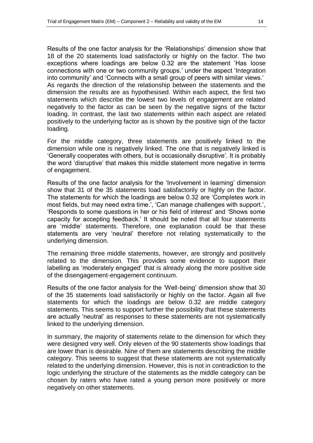Results of the one factor analysis for the "Relationships" dimension show that 18 of the 20 statements load satisfactorily or highly on the factor. The two exceptions where loadings are below 0.32 are the statement "Has loose connections with one or two community groups." under the aspect "Integration into community' and 'Connects with a small group of peers with similar views.' As regards the direction of the relationship between the statements and the dimension the results are as hypothesised. Within each aspect, the first two statements which describe the lowest two levels of engagement are related negatively to the factor as can be seen by the negative signs of the factor loading. In contrast, the last two statements within each aspect are related positively to the underlying factor as is shown by the positive sign of the factor loading.

For the middle category, three statements are positively linked to the dimension while one is negatively linked. The one that is negatively linked is "Generally cooperates with others, but is occasionally disruptive". It is probably the word "disruptive" that makes this middle statement more negative in terms of engagement.

Results of the one factor analysis for the "Involvement in learning" dimension show that 31 of the 35 statements load satisfactorily or highly on the factor. The statements for which the loadings are below 0.32 are "Completes work in most fields, but may need extra time.<sup>7</sup>, 'Can manage challenges with support.<sup>7</sup>, "Responds to some questions in her or his field of interest" and "Shows some capacity for accepting feedback." It should be noted that all four statements are "middle" statements. Therefore, one explanation could be that these statements are very "neutral" therefore not relating systematically to the underlying dimension.

The remaining three middle statements, however, are strongly and positively related to the dimension. This provides some evidence to support their labelling as "moderately engaged" that is already along the more positive side of the disengagement-engagement continuum.

Results of the one factor analysis for the "Well-being" dimension show that 30 of the 35 statements load satisfactorily or highly on the factor. Again all five statements for which the loadings are below 0.32 are middle category statements. This seems to support further the possibility that these statements are actually "neutral" as responses to these statements are not systematically linked to the underlying dimension.

In summary, the majority of statements relate to the dimension for which they were designed very well. Only eleven of the 90 statements show loadings that are lower than is desirable. Nine of them are statements describing the middle category. This seems to suggest that these statements are not systematically related to the underlying dimension. However, this is not in contradiction to the logic underlying the structure of the statements as the middle category can be chosen by raters who have rated a young person more positively or more negatively on other statements.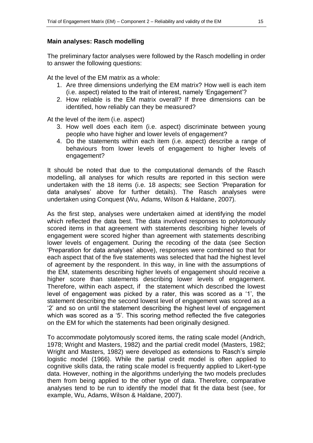## **Main analyses: Rasch modelling**

The preliminary factor analyses were followed by the Rasch modelling in order to answer the following questions:

At the level of the EM matrix as a whole:

- 1. Are three dimensions underlying the EM matrix? How well is each item (i.e. aspect) related to the trait of interest, namely "Engagement"?
- 2. How reliable is the EM matrix overall? If three dimensions can be identified, how reliably can they be measured?

At the level of the item (i.e. aspect)

- 3. How well does each item (i.e. aspect) discriminate between young people who have higher and lower levels of engagement?
- 4. Do the statements within each item (i.e. aspect) describe a range of behaviours from lower levels of engagement to higher levels of engagement?

It should be noted that due to the computational demands of the Rasch modelling, all analyses for which results are reported in this section were undertaken with the 18 items (i.e. 18 aspects; see Section "Preparation for data analyses' above for further details). The Rasch analyses were undertaken using Conquest (Wu, Adams, Wilson & Haldane, 2007).

As the first step, analyses were undertaken aimed at identifying the model which reflected the data best. The data involved responses to polytomously scored items in that agreement with statements describing higher levels of engagement were scored higher than agreement with statements describing lower levels of engagement. During the recoding of the data (see Section "Preparation for data analyses" above), responses were combined so that for each aspect that of the five statements was selected that had the highest level of agreement by the respondent. In this way, in line with the assumptions of the EM, statements describing higher levels of engagement should receive a higher score than statements describing lower levels of engagement. Therefore, within each aspect, if the statement which described the lowest level of engagement was picked by a rater, this was scored as a "1", the statement describing the second lowest level of engagement was scored as a "2" and so on until the statement describing the highest level of engagement which was scored as a '5'. This scoring method reflected the five categories on the EM for which the statements had been originally designed.

To accommodate polytomously scored items, the rating scale model (Andrich, 1978; Wright and Masters, 1982) and the partial credit model (Masters, 1982; Wright and Masters, 1982) were developed as extensions to Rasch"s simple logistic model (1966). While the partial credit model is often applied to cognitive skills data, the rating scale model is frequently applied to Likert-type data. However, nothing in the algorithms underlying the two models precludes them from being applied to the other type of data. Therefore, comparative analyses tend to be run to identify the model that fit the data best (see, for example, Wu, Adams, Wilson & Haldane, 2007).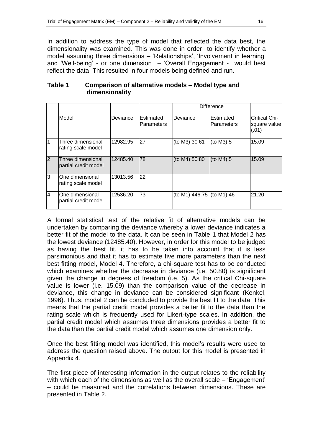In addition to address the type of model that reflected the data best, the dimensionality was examined. This was done in order to identify whether a model assuming three dimensions - 'Relationships', 'Involvement in learning' and "Well-being" - or one dimension – "Overall Engagement - would best reflect the data. This resulted in four models being defined and run.

|                |                                           |          |                                |                           | <b>Difference</b>       |                                               |
|----------------|-------------------------------------------|----------|--------------------------------|---------------------------|-------------------------|-----------------------------------------------|
|                | Model                                     | Deviance | Estimated<br><b>Parameters</b> | Deviance                  | Estimated<br>Parameters | <b>Critical Chi-</b><br>square value<br>(.01) |
|                | Three dimensional<br>rating scale model   | 12982.95 | 27                             | (to M3) 30.61             | (to M3) 5               | 15.09                                         |
| $\overline{2}$ | Three dimensional<br>partial credit model | 12485.40 | 78                             | (to M4) 50.80             | (to $M4$ ) 5            | 15.09                                         |
| 3              | One dimensional<br>rating scale model     | 13013.56 | 22                             |                           |                         |                                               |
| $\overline{4}$ | One dimensional<br>partial credit model   | 12536.20 | 73                             | (to M1) 446.75 (to M1) 46 |                         | 21.20                                         |

## **Table 1 Comparison of alternative models – Model type and dimensionality**

A formal statistical test of the relative fit of alternative models can be undertaken by comparing the deviance whereby a lower deviance indicates a better fit of the model to the data. It can be seen in Table 1 that Model 2 has the lowest deviance (12485.40). However, in order for this model to be judged as having the best fit, it has to be taken into account that it is less parsimonious and that it has to estimate five more parameters than the next best fitting model, Model 4. Therefore, a chi-square test has to be conducted which examines whether the decrease in deviance (i.e. 50.80) is significant given the change in degrees of freedom (i.e. 5). As the critical Chi-square value is lower (i.e. 15.09) than the comparison value of the decrease in deviance, this change in deviance can be considered significant (Kenkel, 1996). Thus, model 2 can be concluded to provide the best fit to the data. This means that the partial credit model provides a better fit to the data than the rating scale which is frequently used for Likert-type scales. In addition, the partial credit model which assumes three dimensions provides a better fit to the data than the partial credit model which assumes one dimension only.

Once the best fitting model was identified, this model"s results were used to address the question raised above. The output for this model is presented in Appendix 4.

The first piece of interesting information in the output relates to the reliability with which each of the dimensions as well as the overall scale – 'Engagement' – could be measured and the correlations between dimensions. These are presented in Table 2.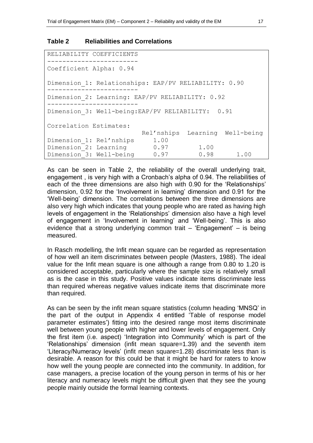#### **Table 2 Reliabilities and Correlations**

```
RELIABILITY COEFFICIENTS
 ------------------------
Coefficient Alpha: 0.94
Dimension_1: Relationships: EAP/PV RELIABILITY: 0.90 
------------------------
Dimension_2: Learning: EAP/PV RELIABILITY: 0.92 
------------------------
Dimension 3: Well-being:EAP/PV RELIABILITY: 0.91
Correlation Estimates:
                        Rel'nships Learning Well-being
Dimension 1: Rel'nships 1.00
Dimension<sup>2</sup>: Learning 0.97 1.00
Dimension 3: Well-being 0.97 0.98 1.00
```
As can be seen in Table 2, the reliability of the overall underlying trait, engagement , is very high with a Cronbach"s alpha of 0.94. The reliabilities of each of the three dimensions are also high with 0.90 for the 'Relationships' dimension, 0.92 for the "Involvement in learning" dimension and 0.91 for the "Well-being" dimension. The correlations between the three dimensions are also very high which indicates that young people who are rated as having high levels of engagement in the "Relationships" dimension also have a high level of engagement in 'Involvement in learning' and 'Well-being'. This is also evidence that a strong underlying common trait – "Engagement" – is being measured.

In Rasch modelling, the Infit mean square can be regarded as representation of how well an item discriminates between people (Masters, 1988). The ideal value for the Infit mean square is one although a range from 0.80 to 1.20 is considered acceptable, particularly where the sample size is relatively small as is the case in this study. Positive values indicate items discriminate less than required whereas negative values indicate items that discriminate more than required.

As can be seen by the infit mean square statistics (column heading "MNSQ" in the part of the output in Appendix 4 entitled "Table of response model parameter estimates') fitting into the desired range most items discriminate well between young people with higher and lower levels of engagement. Only the first item (i.e. aspect) "Integration into Community" which is part of the "Relationships" dimension (infit mean square=1.39) and the seventh item "Literacy/Numeracy levels" (infit mean square=1.28) discriminate less than is desirable. A reason for this could be that it might be hard for raters to know how well the young people are connected into the community. In addition, for case managers, a precise location of the young person in terms of his or her literacy and numeracy levels might be difficult given that they see the young people mainly outside the formal learning contexts.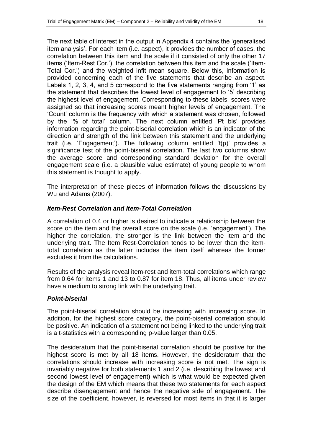The next table of interest in the output in Appendix 4 contains the "generalised item analysis'. For each item (i.e. aspect), it provides the number of cases, the correlation between this item and the scale if it consisted of only the other 17 items ("Item-Rest Cor."), the correlation between this item and the scale ("Item-Total Cor.') and the weighted infit mean square. Below this, information is provided concerning each of the five statements that describe an aspect. Labels 1, 2, 3, 4, and 5 correspond to the five statements ranging from '1' as the statement that describes the lowest level of engagement to "5" describing the highest level of engagement. Corresponding to these labels, scores were assigned so that increasing scores meant higher levels of engagement. The "Count" column is the frequency with which a statement was chosen, followed by the "% of total" column. The next column entitled "Pt bis" provides information regarding the point-biserial correlation which is an indicator of the direction and strength of the link between this statement and the underlying trait (i.e. "Engagement"). The following column entitled "t(p)" provides a significance test of the point-biserial correlation. The last two columns show the average score and corresponding standard deviation for the overall engagement scale (i.e. a plausible value estimate) of young people to whom this statement is thought to apply.

The interpretation of these pieces of information follows the discussions by Wu and Adams (2007).

## *Item-Rest Correlation and Item-Total Correlation*

A correlation of 0.4 or higher is desired to indicate a relationship between the score on the item and the overall score on the scale (i.e. "engagement"). The higher the correlation, the stronger is the link between the item and the underlying trait. The Item Rest-Correlation tends to be lower than the itemtotal correlation as the latter includes the item itself whereas the former excludes it from the calculations.

Results of the analysis reveal item-rest and item-total correlations which range from 0.64 for items 1 and 13 to 0.87 for item 18. Thus, all items under review have a medium to strong link with the underlying trait.

## *Point-biserial*

The point-biserial correlation should be increasing with increasing score. In addition, for the highest score category, the point-biserial correlation should be positive. An indication of a statement not being linked to the underlying trait is a t-statistics with a corresponding p-value larger than 0.05.

The desideratum that the point-biserial correlation should be positive for the highest score is met by all 18 items. However, the desideratum that the correlations should increase with increasing score is not met. The sign is invariably negative for both statements 1 and 2 (i.e. describing the lowest and second lowest level of engagement) which is what would be expected given the design of the EM which means that these two statements for each aspect describe disengagement and hence the negative side of engagement. The size of the coefficient, however, is reversed for most items in that it is larger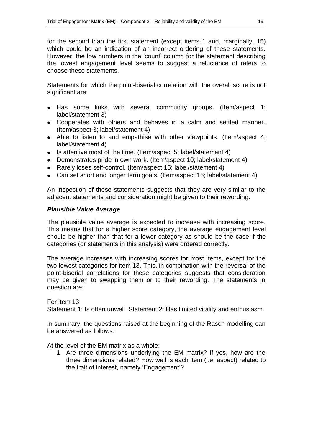for the second than the first statement (except items 1 and, marginally, 15) which could be an indication of an incorrect ordering of these statements. However, the low numbers in the "count" column for the statement describing the lowest engagement level seems to suggest a reluctance of raters to choose these statements.

Statements for which the point-biserial correlation with the overall score is not significant are:

- Has some links with several community groups. (Item/aspect 1; label/statement 3)
- Cooperates with others and behaves in a calm and settled manner. (Item/aspect 3; label/statement 4)
- Able to listen to and empathise with other viewpoints. (Item/aspect 4; label/statement 4)
- Is attentive most of the time. (Item/aspect 5; label/statement 4)
- Demonstrates pride in own work. (Item/aspect 10; label/statement 4)
- Rarely loses self-control. (Item/aspect 15; label/statement 4)
- Can set short and longer term goals. (Item/aspect 16; label/statement 4)

An inspection of these statements suggests that they are very similar to the adjacent statements and consideration might be given to their rewording.

## *Plausible Value Average*

The plausible value average is expected to increase with increasing score. This means that for a higher score category, the average engagement level should be higher than that for a lower category as should be the case if the categories (or statements in this analysis) were ordered correctly.

The average increases with increasing scores for most items, except for the two lowest categories for item 13. This, in combination with the reversal of the point-biserial correlations for these categories suggests that consideration may be given to swapping them or to their rewording. The statements in question are:

For item 13: Statement 1: Is often unwell. Statement 2: Has limited vitality and enthusiasm.

In summary, the questions raised at the beginning of the Rasch modelling can be answered as follows:

At the level of the EM matrix as a whole:

1. Are three dimensions underlying the EM matrix? If yes, how are the three dimensions related? How well is each item (i.e. aspect) related to the trait of interest, namely 'Engagement'?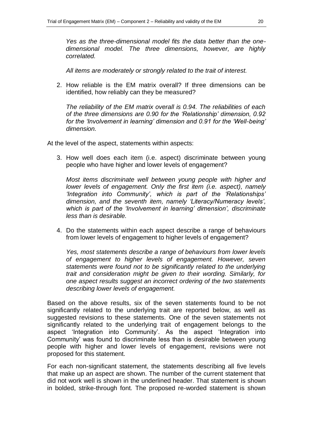*Yes as the three-dimensional model fits the data better than the onedimensional model. The three dimensions, however, are highly correlated.* 

*All items are moderately or strongly related to the trait of interest.*

2. How reliable is the EM matrix overall? If three dimensions can be identified, how reliably can they be measured?

*The reliability of the EM matrix overall is 0.94. The reliabilities of each of the three dimensions are 0.90 for the 'Relationship' dimension, 0.92 for the 'Involvement in learning' dimension and 0.91 for the 'Well-being' dimension.*

At the level of the aspect, statements within aspects:

3. How well does each item (i.e. aspect) discriminate between young people who have higher and lower levels of engagement?

*Most items discriminate well between young people with higher and lower levels of engagement. Only the first item (i.e. aspect), namely 'Integration into Community', which is part of the 'Relationships' dimension, and the seventh item, namely 'Literacy/Numeracy levels', which is part of the 'Involvement in learning' dimension', discriminate less than is desirable.*

4. Do the statements within each aspect describe a range of behaviours from lower levels of engagement to higher levels of engagement?

*Yes, most statements describe a range of behaviours from lower levels of engagement to higher levels of engagement. However, seven statements were found not to be significantly related to the underlying trait and consideration might be given to their wording. Similarly, for one aspect results suggest an incorrect ordering of the two statements describing lower levels of engagement.*

Based on the above results, six of the seven statements found to be not significantly related to the underlying trait are reported below, as well as suggested revisions to these statements. One of the seven statements not significantly related to the underlying trait of engagement belongs to the aspect "Integration into Community". As the aspect "Integration into Community" was found to discriminate less than is desirable between young people with higher and lower levels of engagement, revisions were not proposed for this statement.

For each non-significant statement, the statements describing all five levels that make up an aspect are shown. The number of the current statement that did not work well is shown in the underlined header. That statement is shown in bolded, strike-through font. The proposed re-worded statement is shown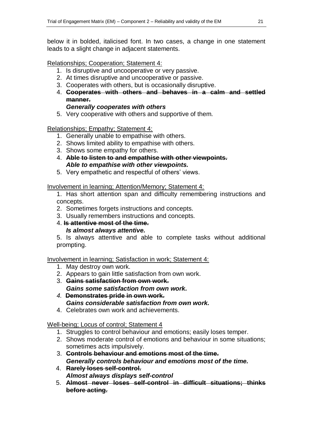below it in bolded, italicised font. In two cases, a change in one statement leads to a slight change in adjacent statements.

Relationships; Cooperation; Statement 4:

- 1. Is disruptive and uncooperative or very passive.
- 2. At times disruptive and uncooperative or passive.
- 3. Cooperates with others, but is occasionally disruptive.
- 4. **Cooperates with others and behaves in a calm and settled manner.** 
	- *Generally cooperates with others*
- 5. Very cooperative with others and supportive of them.

## Relationships; Empathy; Statement 4:

- 1. Generally unable to empathise with others.
- 2. Shows limited ability to empathise with others.
- 3. Shows some empathy for others.
- 4. **Able to listen to and empathise with other viewpoints.**  *Able to empathise with other viewpoints.*
- 5. Very empathetic and respectful of others' views.

## Involvement in learning; Attention/Memory; Statement 4:

1. Has short attention span and difficulty remembering instructions and concepts.

- 2. Sometimes forgets instructions and concepts.
- 3. Usually remembers instructions and concepts.
- 4. **Is attentive most of the time.**  *Is almost always attentive.*

5. Is always attentive and able to complete tasks without additional prompting.

Involvement in learning; Satisfaction in work; Statement 4:

- 1. May destroy own work.
- 2. Appears to gain little satisfaction from own work.
- 3. **Gains satisfaction from own work.**  *Gains some satisfaction from own work.*
- *4.* **Demonstrates pride in own work.**  *Gains considerable satisfaction from own work.*
- 4. Celebrates own work and achievements.

## Well-being; Locus of control; Statement 4

- 1. Struggles to control behaviour and emotions; easily loses temper.
- 2. Shows moderate control of emotions and behaviour in some situations; sometimes acts impulsively.
- 3. **Controls behaviour and emotions most of the time.** *Generally controls behaviour and emotions most of the time.*
- 4. **Rarely loses self-control.** *Almost always displays self-control*
- 5. **Almost never loses self-control in difficult situations; thinks before acting.**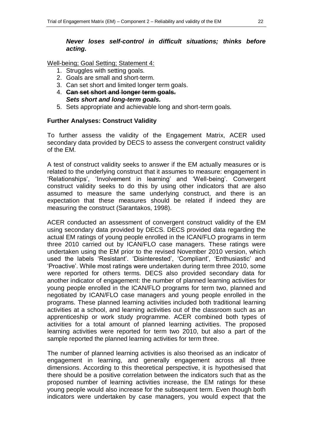## *Never loses self-control in difficult situations; thinks before acting.*

Well-being; Goal Setting; Statement 4:

- 1. Struggles with setting goals.
- 2. Goals are small and short-term.
- 3. Can set short and limited longer term goals.
- 4. **Can set short and longer term goals.** *Sets short and long-term goals.*
- 5. Sets appropriate and achievable long and short-term goals.

#### **Further Analyses: Construct Validity**

To further assess the validity of the Engagement Matrix, ACER used secondary data provided by DECS to assess the convergent construct validity of the EM.

A test of construct validity seeks to answer if the EM actually measures or is related to the underlying construct that it assumes to measure: engagement in 'Relationships', 'Involvement in learning' and 'Well-being'. Convergent construct validity seeks to do this by using other indicators that are also assumed to measure the same underlying construct, and there is an expectation that these measures should be related if indeed they are measuring the construct (Sarantakos, 1998).

ACER conducted an assessment of convergent construct validity of the EM using secondary data provided by DECS. DECS provided data regarding the actual EM ratings of young people enrolled in the ICAN/FLO programs in term three 2010 carried out by ICAN/FLO case managers. These ratings were undertaken using the EM prior to the revised November 2010 version, which used the labels 'Resistant'. 'Disinterested', 'Compliant', 'Enthusiastic' and "Proactive". While most ratings were undertaken during term three 2010, some were reported for others terms. DECS also provided secondary data for another indicator of engagement: the number of planned learning activities for young people enrolled in the ICAN/FLO programs for term two, planned and negotiated by ICAN/FLO case managers and young people enrolled in the programs. These planned learning activities included both traditional learning activities at a school, and learning activities out of the classroom such as an apprenticeship or work study programme. ACER combined both types of activities for a total amount of planned learning activities. The proposed learning activities were reported for term two 2010, but also a part of the sample reported the planned learning activities for term three.

The number of planned learning activities is also theorised as an indicator of engagement in learning, and generally engagement across all three dimensions. According to this theoretical perspective, it is hypothesised that there should be a positive correlation between the indicators such that as the proposed number of learning activities increase, the EM ratings for these young people would also increase for the subsequent term. Even though both indicators were undertaken by case managers, you would expect that the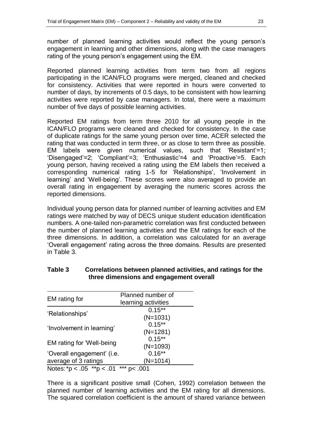number of planned learning activities would reflect the young person"s engagement in learning and other dimensions, along with the case managers rating of the young person's engagement using the EM.

Reported planned learning activities from term two from all regions participating in the ICAN/FLO programs were merged, cleaned and checked for consistency. Activities that were reported in hours were converted to number of days, by increments of 0.5 days, to be consistent with how learning activities were reported by case managers. In total, there were a maximum number of five days of possible learning activities.

Reported EM ratings from term three 2010 for all young people in the ICAN/FLO programs were cleaned and checked for consistency. In the case of duplicate ratings for the same young person over time, ACER selected the rating that was conducted in term three, or as close to term three as possible. EM labels were given numerical values, such that "Resistant"=1; "Disengaged"=2; "Compliant"=3; "Enthusiastic"=4 and "Proactive"=5. Each young person, having received a rating using the EM labels then received a corresponding numerical rating 1-5 for "Relationships", "Involvement in learning' and 'Well-being'. These scores were also averaged to provide an overall rating in engagement by averaging the numeric scores across the reported dimensions.

Individual young person data for planned number of learning activities and EM ratings were matched by way of DECS unique student education identification numbers. A one-tailed non-parametric correlation was first conducted between the number of planned learning activities and the EM ratings for each of the three dimensions. In addition, a correlation was calculated for an average "Overall engagement" rating across the three domains. Results are presented in Table 3.

| EM rating for                 | Planned number of<br>learning activities |
|-------------------------------|------------------------------------------|
| 'Relationships'               | $0.15***$<br>$(N=1031)$                  |
| 'Involvement in learning'     | $0.15***$<br>$(N=1281)$                  |
| EM rating for 'Well-being     | $0.15***$<br>$(N=1093)$                  |
| 'Overall engagement' (i.e.    | $0.16**$                                 |
| average of 3 ratings          | $(N=1014)$                               |
| Notes: *p < .05 **p < .01 *** | pc.001                                   |

## **Table 3 Correlations between planned activities, and ratings for the three dimensions and engagement overall**

There is a significant positive small (Cohen, 1992) correlation between the planned number of learning activities and the EM rating for all dimensions. The squared correlation coefficient is the amount of shared variance between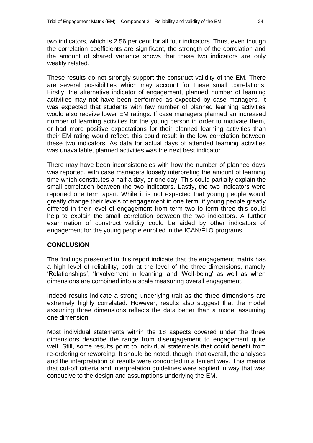two indicators, which is 2.56 per cent for all four indicators. Thus, even though the correlation coefficients are significant, the strength of the correlation and the amount of shared variance shows that these two indicators are only weakly related.

These results do not strongly support the construct validity of the EM. There are several possibilities which may account for these small correlations. Firstly, the alternative indicator of engagement, planned number of learning activities may not have been performed as expected by case managers. It was expected that students with few number of planned learning activities would also receive lower EM ratings. If case managers planned an increased number of learning activities for the young person in order to motivate them, or had more positive expectations for their planned learning activities than their EM rating would reflect, this could result in the low correlation between these two indicators. As data for actual days of attended learning activities was unavailable, planned activities was the next best indicator.

There may have been inconsistencies with how the number of planned days was reported, with case managers loosely interpreting the amount of learning time which constitutes a half a day, or one day. This could partially explain the small correlation between the two indicators. Lastly, the two indicators were reported one term apart. While it is not expected that young people would greatly change their levels of engagement in one term, if young people greatly differed in their level of engagement from term two to term three this could help to explain the small correlation between the two indicators. A further examination of construct validity could be aided by other indicators of engagement for the young people enrolled in the ICAN/FLO programs.

## **CONCLUSION**

The findings presented in this report indicate that the engagement matrix has a high level of reliability, both at the level of the three dimensions, namely 'Relationships', 'Involvement in learning' and 'Well-being' as well as when dimensions are combined into a scale measuring overall engagement.

Indeed results indicate a strong underlying trait as the three dimensions are extremely highly correlated. However, results also suggest that the model assuming three dimensions reflects the data better than a model assuming one dimension.

Most individual statements within the 18 aspects covered under the three dimensions describe the range from disengagement to engagement quite well. Still, some results point to individual statements that could benefit from re-ordering or rewording. It should be noted, though, that overall, the analyses and the interpretation of results were conducted in a lenient way. This means that cut-off criteria and interpretation guidelines were applied in way that was conducive to the design and assumptions underlying the EM.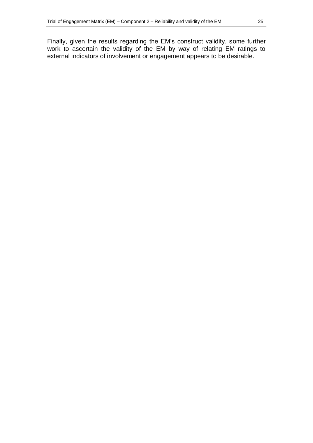Finally, given the results regarding the EM"s construct validity, some further work to ascertain the validity of the EM by way of relating EM ratings to external indicators of involvement or engagement appears to be desirable.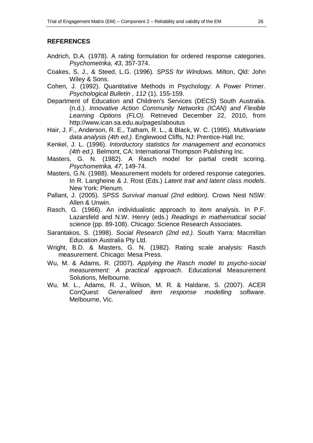#### **REFERENCES**

- Andrich, D.A. (1978). A rating formulation for ordered response categories. *Psychometrika, 43*, 357-374.
- Coakes, S. J., & Steed, L.G. (1996). *SPSS for Windows.* Milton, Qld: John Wiley & Sons.
- Cohen, J. (1992). Quantitative Methods in Psychology: A Power Primer. *Psychological Bulletin , 112* (1), 155-159.
- Department of Education and Children's Services (DECS) South Australia. (n.d.). *Innovative Action Community Networks (ICAN) and Flexible Learning Options (FLO).* Retrieved December 22, 2010, from http://www.ican.sa.edu.au/pages/aboutus
- Hair, J. F., Anderson, R. E., Tatham, R. L., & Black, W. C. (1995). *Multivariate data analysis (4th ed.).* Englewood Cliffs, NJ: Prentice-Hall Inc.
- Kenkel, J. L. (1996). *Intorductory statistics for management and economics (4th ed.).* Belmont, CA: International Thompson Publishing Inc.
- Masters, G. N. (1982). A Rasch model for partial credit scoring. *Psychometrika, 47*, 149-74.
- Masters, G.N. (1988). Measurement models for ordered response categories. In R. Langheine & J. Rost (Eds.) *Latent trait and latent class models*. New York: Plenum.
- Pallant, J. (2005). *SPSS Survival manual (2nd edition).* Crows Nest NSW: Allen & Unwin.
- Rasch, G. (1966). An individualistic approach to item analysis. In P.F. Lazarsfeld and N.W. Henry (eds.) *Readings in mathematical social science* (pp. 89-108). Chicago: Science Research Associates.
- Sarantakos, S. (1998). *Social Research (2nd ed.).* South Yarra: Macmillan Education Australia Pty Ltd.
- Wright, B.D. & Masters, G. N. (1982). Rating scale analysis: Rasch measurement. Chicago: Mesa Press.
- Wu, M. & Adams, R. (2007). *Applying the Rasch model to psycho-social measurement: A practical approach*. Educational Measurement Solutions, Melbourne.
- Wu, M. L., Adams, R. J., Wilson, M. R. & Haldane, S. (2007). ACER ConQuest: *Generalised item response modelling software*. Melbourne, Vic.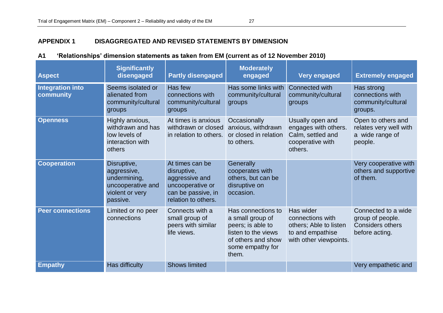## **APPENDIX 1 DISAGGREGATED AND REVISED STATEMENTS BY DIMENSION**

| <b>Aspect</b>                        | <b>Significantly</b><br>disengaged                                                             | <b>Partly disengaged</b>                                                                                          | <b>Moderately</b><br>engaged                                                                                                          | <b>Very engaged</b>                                                                                   | <b>Extremely engaged</b>                                                             |
|--------------------------------------|------------------------------------------------------------------------------------------------|-------------------------------------------------------------------------------------------------------------------|---------------------------------------------------------------------------------------------------------------------------------------|-------------------------------------------------------------------------------------------------------|--------------------------------------------------------------------------------------|
| <b>Integration into</b><br>community | Seems isolated or<br>alienated from<br>community/cultural<br>groups                            | Has few<br>connections with<br>community/cultural<br>groups                                                       | Has some links with<br>community/cultural<br>groups                                                                                   | Connected with<br>community/cultural<br>groups                                                        | Has strong<br>connections with<br>community/cultural<br>groups.                      |
| <b>Openness</b>                      | Highly anxious,<br>withdrawn and has<br>low levels of<br>interaction with<br>others            | At times is anxious<br>withdrawn or closed<br>in relation to others.                                              | Occasionally<br>anxious, withdrawn<br>or closed in relation<br>to others.                                                             | Usually open and<br>engages with others.<br>Calm, settled and<br>cooperative with<br>others.          | Open to others and<br>relates very well with<br>a wide range of<br>people.           |
| <b>Cooperation</b>                   | Disruptive,<br>aggressive,<br>undermining,<br>uncooperative and<br>violent or very<br>passive. | At times can be<br>disruptive,<br>aggressive and<br>uncooperative or<br>can be passive, in<br>relation to others. | Generally<br>cooperates with<br>others, but can be<br>disruptive on<br>occasion.                                                      |                                                                                                       | Very cooperative with<br>others and supportive<br>of them.                           |
| <b>Peer connections</b>              | Limited or no peer<br>connections                                                              | Connects with a<br>small group of<br>peers with similar<br>life views.                                            | Has connections to<br>a small group of<br>peers; is able to<br>listen to the views<br>of others and show<br>some empathy for<br>them. | Has wider<br>connections with<br>others; Able to listen<br>to and empathise<br>with other viewpoints. | Connected to a wide<br>group of people.<br><b>Considers others</b><br>before acting. |
| <b>Empathy</b>                       | Has difficulty                                                                                 | <b>Shows limited</b>                                                                                              |                                                                                                                                       |                                                                                                       | Very empathetic and                                                                  |

## **A1 'Relationships' dimension statements as taken from EM (current as of 12 November 2010)**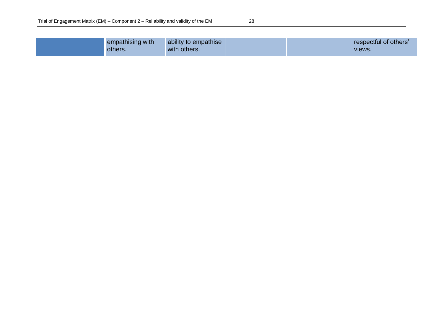| e v |              |  |
|-----|--------------|--|
|     | ٦<br>×<br>۰, |  |

| empathising with<br><b>others</b> . | ability to empathise<br>with others. |  |  | respectful of others'<br>VIEWS. |
|-------------------------------------|--------------------------------------|--|--|---------------------------------|
|-------------------------------------|--------------------------------------|--|--|---------------------------------|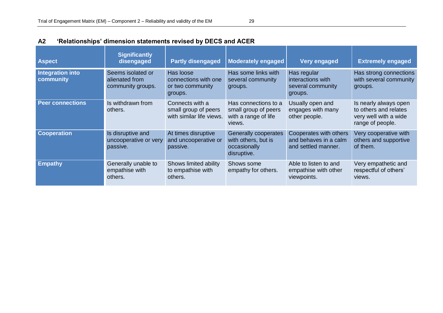| <b>Aspect</b>                 | <b>Significantly</b><br>disengaged                       | <b>Partly disengaged</b>                                            | <b>Moderately engaged</b>                                                      | Very engaged                                                           | <b>Extremely engaged</b>                                                                    |
|-------------------------------|----------------------------------------------------------|---------------------------------------------------------------------|--------------------------------------------------------------------------------|------------------------------------------------------------------------|---------------------------------------------------------------------------------------------|
| Integration into<br>community | Seems isolated or<br>alienated from<br>community groups. | Has loose<br>connections with one<br>or two community<br>groups.    | Has some links with<br>several community<br>groups.                            | Has regular<br>interactions with<br>several community<br>groups.       | Has strong connections<br>with several community<br>groups.                                 |
| <b>Peer connections</b>       | Is withdrawn from<br>others.                             | Connects with a<br>small group of peers<br>with similar life views. | Has connections to a<br>small group of peers<br>with a range of life<br>views. | Usually open and<br>engages with many<br>other people.                 | Is nearly always open<br>to others and relates<br>very well with a wide<br>range of people. |
| <b>Cooperation</b>            | Is disruptive and<br>uncooperative or very<br>passive.   | At times disruptive<br>and uncooperative or<br>passive.             | Generally cooperates<br>with others, but is<br>occasionally<br>disruptive.     | Cooperates with others<br>and behaves in a calm<br>and settled manner. | Very cooperative with<br>others and supportive<br>of them.                                  |
| <b>Empathy</b>                | Generally unable to<br>empathise with<br>others.         | Shows limited ability<br>to empathise with<br>others.               | Shows some<br>empathy for others.                                              | Able to listen to and<br>empathise with other<br>viewpoints.           | Very empathetic and<br>respectful of others'<br>views.                                      |

# **A2 'Relationships' dimension statements revised by DECS and ACER**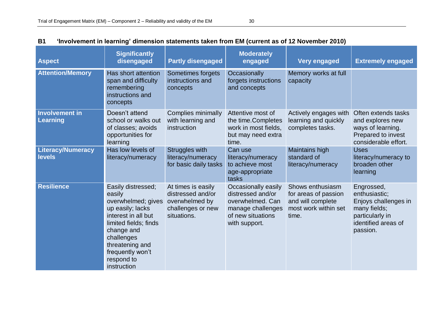| <b>Aspect</b>                             | <b>Significantly</b><br>disengaged                                                                                                                                                                                     | <b>Partly disengaged</b>                                                                      | <b>Moderately</b><br>engaged                                                                                            | <b>Very engaged</b>                                                                            | <b>Extremely engaged</b>                                                                                                  |
|-------------------------------------------|------------------------------------------------------------------------------------------------------------------------------------------------------------------------------------------------------------------------|-----------------------------------------------------------------------------------------------|-------------------------------------------------------------------------------------------------------------------------|------------------------------------------------------------------------------------------------|---------------------------------------------------------------------------------------------------------------------------|
| <b>Attention/Memory</b>                   | Has short attention<br>span and difficulty<br>remembering<br>instructions and<br>concepts                                                                                                                              | Sometimes forgets<br>instructions and<br>concepts                                             | Occasionally<br>forgets instructions<br>and concepts                                                                    | Memory works at full<br>capacity                                                               |                                                                                                                           |
| Involvement in<br>Learning                | Doesn't attend<br>school or walks out<br>of classes; avoids<br>opportunities for<br>learning                                                                                                                           | Complies minimally<br>with learning and<br>instruction                                        | Attentive most of<br>the time.Completes<br>work in most fields,<br>but may need extra<br>time.                          | Actively engages with<br>learning and quickly<br>completes tasks.                              | Often extends tasks<br>and explores new<br>ways of learning.<br>Prepared to invest<br>considerable effort.                |
| <b>Literacy/Numeracy</b><br><b>levels</b> | Has low levels of<br>literacy/numeracy                                                                                                                                                                                 | Struggles with<br>literacy/numeracy<br>for basic daily tasks                                  | Can use<br>literacy/numeracy<br>to achieve most<br>age-appropriate<br>tasks                                             | Maintains high<br>standard of<br>literacy/numeracy                                             | <b>Uses</b><br>literacy/numeracy to<br>broaden other<br>learning                                                          |
| <b>Resilience</b>                         | Easily distressed;<br>easily<br>overwhelmed; gives<br>up easily; lacks<br>interest in all but<br>limited fields; finds<br>change and<br>challenges<br>threatening and<br>frequently won't<br>respond to<br>instruction | At times is easily<br>distressed and/or<br>overwhelmed by<br>challenges or new<br>situations. | Occasionally easily<br>distressed and/or<br>overwhelmed. Can<br>manage challenges<br>of new situations<br>with support. | Shows enthusiasm<br>for areas of passion<br>and will complete<br>most work within set<br>time. | Engrossed,<br>enthusiastic;<br>Enjoys challenges in<br>many fields;<br>particularly in<br>identified areas of<br>passion. |

## **B1 'Involvement in learning' dimension statements taken from EM (current as of 12 November 2010)**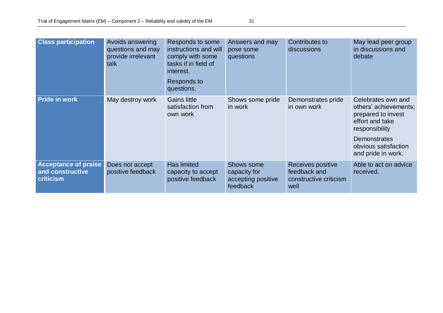| <b>Class participation</b>                                   | Avoids answering<br>questions and may<br>provide irrelevant<br>talk | Responds to some<br>instructions and will<br>comply with some<br>tasks if in field of<br>interest.<br>Responds to<br>questions. | Answers and may<br>pose some<br>questions                    | Contributes to<br>discussions                                       | May lead peer group<br>in discussions and<br>debate                                                                                                                         |
|--------------------------------------------------------------|---------------------------------------------------------------------|---------------------------------------------------------------------------------------------------------------------------------|--------------------------------------------------------------|---------------------------------------------------------------------|-----------------------------------------------------------------------------------------------------------------------------------------------------------------------------|
| <b>Pride in work</b>                                         | May destroy work                                                    | <b>Gains little</b><br>satisfaction from<br>own work                                                                            | Shows some pride<br>in work                                  | Demonstrates pride<br>in own work                                   | Celebrates own and<br>others' achievements;<br>prepared to invest<br>effort and take<br>responsibility<br><b>Demonstrates</b><br>obvious satisfaction<br>and pride in work. |
| <b>Acceptance of praise</b><br>and constructive<br>criticism | Does not accept<br>positive feedback                                | <b>Has limited</b><br>capacity to accept<br>positive feedback                                                                   | Shows some<br>capacity for<br>accepting positive<br>feedback | Receives positive<br>feedback and<br>constructive criticism<br>well | Able to act on advice<br>received.                                                                                                                                          |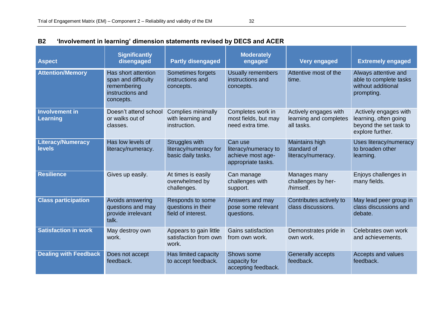| <b>Aspect</b>                             | <b>Significantly</b><br>disengaged                                                         | <b>Partly disengaged</b>                                      | <b>Moderately</b><br>engaged                                               | <b>Very engaged</b>                                           | <b>Extremely engaged</b>                                                                     |
|-------------------------------------------|--------------------------------------------------------------------------------------------|---------------------------------------------------------------|----------------------------------------------------------------------------|---------------------------------------------------------------|----------------------------------------------------------------------------------------------|
| <b>Attention/Memory</b>                   | Has short attention<br>span and difficulty<br>remembering<br>instructions and<br>concepts. | Sometimes forgets<br>instructions and<br>concepts.            | Usually remembers<br>instructions and<br>concepts.                         | Attentive most of the<br>time.                                | Always attentive and<br>able to complete tasks<br>without additional<br>prompting.           |
| <b>Involvement in</b><br><b>Learning</b>  | Doesn't attend school<br>or walks out of<br>classes.                                       | Complies minimally<br>with learning and<br>instruction.       | Completes work in<br>most fields, but may<br>need extra time.              | Actively engages with<br>learning and completes<br>all tasks. | Actively engages with<br>learning, often going<br>beyond the set task to<br>explore further. |
| <b>Literacy/Numeracy</b><br><b>levels</b> | Has low levels of<br>literacy/numeracy.                                                    | Struggles with<br>literacy/numeracy for<br>basic daily tasks. | Can use<br>literacy/numeracy to<br>achieve most age-<br>appropriate tasks. | Maintains high<br>standard of<br>literacy/numeracy.           | Uses literacy/numeracy<br>to broaden other<br>learning.                                      |
| <b>Resilience</b>                         | Gives up easily.                                                                           | At times is easily<br>overwhelmed by<br>challenges.           | Can manage<br>challenges with<br>support.                                  | Manages many<br>challenges by her-<br>/himself.               | Enjoys challenges in<br>many fields.                                                         |
| <b>Class participation</b>                | Avoids answering<br>questions and may<br>provide irrelevant<br>talk.                       | Responds to some<br>questions in their<br>field of interest.  | Answers and may<br>pose some relevant<br>questions.                        | Contributes actively to<br>class discussions.                 | May lead peer group in<br>class discussions and<br>debate.                                   |
| <b>Satisfaction in work</b>               | May destroy own<br>work.                                                                   | Appears to gain little<br>satisfaction from own<br>work.      | Gains satisfaction<br>from own work.                                       | Demonstrates pride in<br>own work.                            | Celebrates own work<br>and achievements.                                                     |
| <b>Dealing with Feedback</b>              | Does not accept<br>feedback.                                                               | Has limited capacity<br>to accept feedback.                   | Shows some<br>capacity for<br>accepting feedback.                          | Generally accepts<br>feedback.                                | Accepts and values<br>feedback.                                                              |

# **B2 'Involvement in learning' dimension statements revised by DECS and ACER**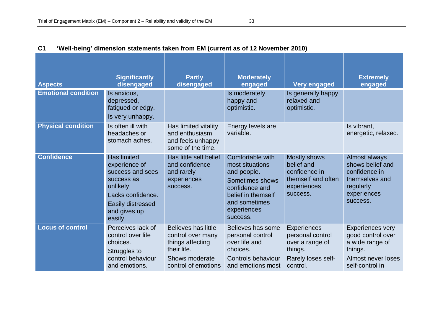| <b>Aspects</b>             | <b>Significantly</b><br>disengaged                                                                                                                      | <b>Partly</b><br>disengaged                                                                                                 | <b>Moderately</b><br>engaged                                                                                                                              | <b>Very engaged</b>                                                                                    | <b>Extremely</b><br>engaged                                                                                         |
|----------------------------|---------------------------------------------------------------------------------------------------------------------------------------------------------|-----------------------------------------------------------------------------------------------------------------------------|-----------------------------------------------------------------------------------------------------------------------------------------------------------|--------------------------------------------------------------------------------------------------------|---------------------------------------------------------------------------------------------------------------------|
| <b>Emotional condition</b> | Is anxious,<br>depressed,<br>fatigued or edgy.<br>Is very unhappy.                                                                                      |                                                                                                                             | Is moderately<br>happy and<br>optimistic.                                                                                                                 | Is generally happy,<br>relaxed and<br>optimistic.                                                      |                                                                                                                     |
| <b>Physical condition</b>  | Is often ill with<br>headaches or<br>stomach aches.                                                                                                     | Has limited vitality<br>and enthusiasm<br>and feels unhappy<br>some of the time.                                            | Energy levels are<br>variable.                                                                                                                            |                                                                                                        | Is vibrant,<br>energetic, relaxed.                                                                                  |
| <b>Confidence</b>          | <b>Has limited</b><br>experience of<br>success and sees<br>success as<br>unlikely.<br>Lacks confidence.<br>Easily distressed<br>and gives up<br>easily. | Has little self belief<br>and confidence<br>and rarely<br>experiences<br>success.                                           | Comfortable with<br>most situations<br>and people.<br>Sometimes shows<br>confidence and<br>belief in themself<br>and sometimes<br>experiences<br>success. | <b>Mostly shows</b><br>belief and<br>confidence in<br>themself and often<br>experiences<br>success.    | Almost always<br>shows belief and<br>confidence in<br>themselves and<br>regularly<br>experiences<br>success.        |
| <b>Locus of control</b>    | Perceives lack of<br>control over life<br>choices.<br>Struggles to<br>control behaviour<br>and emotions.                                                | <b>Believes has little</b><br>control over many<br>things affecting<br>their life.<br>Shows moderate<br>control of emotions | Believes has some<br>personal control<br>over life and<br>choices.<br>Controls behaviour<br>and emotions most                                             | <b>Experiences</b><br>personal control<br>over a range of<br>things.<br>Rarely loses self-<br>control. | <b>Experiences very</b><br>good control over<br>a wide range of<br>things.<br>Almost never loses<br>self-control in |

## **C1 'Well-being' dimension statements taken from EM (current as of 12 November 2010)**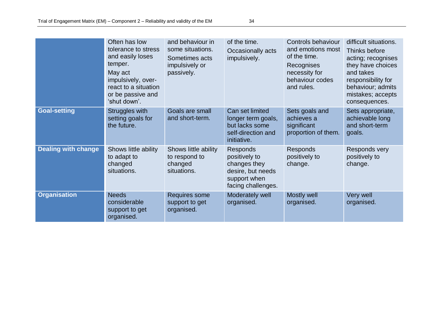|                            | Often has low<br>tolerance to stress<br>and easily loses<br>temper.<br>May act<br>impulsively, over-<br>react to a situation<br>or be passive and<br>'shut down'. | and behaviour in<br>some situations.<br>Sometimes acts<br>impulsively or<br>passively. | of the time.<br>Occasionally acts<br>impulsively.                                                           | Controls behaviour<br>and emotions most<br>of the time.<br>Recognises<br>necessity for<br>behaviour codes<br>and rules. | difficult situations.<br>Thinks before<br>acting; recognises<br>they have choices<br>and takes<br>responsibility for<br>behaviour; admits<br>mistakes; accepts<br>consequences. |
|----------------------------|-------------------------------------------------------------------------------------------------------------------------------------------------------------------|----------------------------------------------------------------------------------------|-------------------------------------------------------------------------------------------------------------|-------------------------------------------------------------------------------------------------------------------------|---------------------------------------------------------------------------------------------------------------------------------------------------------------------------------|
| <b>Goal-setting</b>        | Struggles with<br>setting goals for<br>the future.                                                                                                                | Goals are small<br>and short-term.                                                     | Can set limited<br>longer term goals,<br>but lacks some<br>self-direction and<br>initiative.                | Sets goals and<br>achieves a<br>significant<br>proportion of them.                                                      | Sets appropriate,<br>achievable long<br>and short-term<br>goals.                                                                                                                |
| <b>Dealing with change</b> | Shows little ability<br>to adapt to<br>changed<br>situations.                                                                                                     | Shows little ability<br>to respond to<br>changed<br>situations.                        | <b>Responds</b><br>positively to<br>changes they<br>desire, but needs<br>support when<br>facing challenges. | Responds<br>positively to<br>change.                                                                                    | Responds very<br>positively to<br>change.                                                                                                                                       |
| <b>Organisation</b>        | <b>Needs</b><br>considerable<br>support to get<br>organised.                                                                                                      | Requires some<br>support to get<br>organised.                                          | Moderately well<br>organised.                                                                               | Mostly well<br>organised.                                                                                               | Very well<br>organised.                                                                                                                                                         |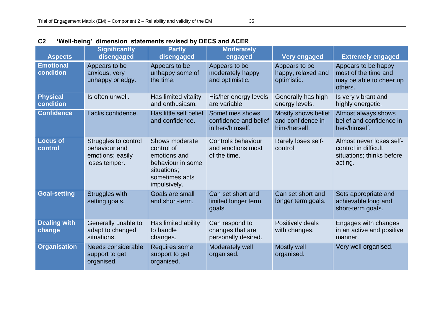| <b>Aspects</b>                | <b>Significantly</b><br>disengaged                                         | <b>Partly</b><br>disengaged                                                                                        | <b>Moderately</b><br>engaged                                 | <b>Very engaged</b>                                       | <b>Extremely engaged</b>                                                                 |
|-------------------------------|----------------------------------------------------------------------------|--------------------------------------------------------------------------------------------------------------------|--------------------------------------------------------------|-----------------------------------------------------------|------------------------------------------------------------------------------------------|
| <b>Emotional</b><br>condition | Appears to be<br>anxious, very<br>unhappy or edgy.                         | Appears to be<br>unhappy some of<br>the time.                                                                      | Appears to be<br>moderately happy<br>and optimistic.         | Appears to be<br>happy, relaxed and<br>optimistic.        | Appears to be happy<br>most of the time and<br>may be able to cheer up<br>others.        |
| <b>Physical</b><br>condition  | Is often unwell.                                                           | Has limited vitality<br>and enthusiasm.                                                                            | His/her energy levels<br>are variable.                       | Generally has high<br>energy levels.                      | Is very vibrant and<br>highly energetic.                                                 |
| <b>Confidence</b>             | Lacks confidence.                                                          | Has little self belief<br>and confidence.                                                                          | Sometimes shows<br>confidence and belief<br>in her-/himself. | Mostly shows belief<br>and confidence in<br>him-/herself. | Almost always shows<br>belief and confidence in<br>her-/himself.                         |
| <b>Locus of</b><br>control    | Struggles to control<br>behaviour and<br>emotions; easily<br>loses temper. | Shows moderate<br>control of<br>emotions and<br>behaviour in some<br>situations;<br>sometimes acts<br>impulsively. | Controls behaviour<br>and emotions most<br>of the time.      | Rarely loses self-<br>control.                            | Almost never loses self-<br>control in difficult<br>situations; thinks before<br>acting. |
| <b>Goal-setting</b>           | Struggles with<br>setting goals.                                           | Goals are small<br>and short-term.                                                                                 | Can set short and<br>limited longer term<br>goals.           | Can set short and<br>longer term goals.                   | Sets appropriate and<br>achievable long and<br>short-term goals.                         |
| <b>Dealing with</b><br>change | Generally unable to<br>adapt to changed<br>situations.                     | Has limited ability<br>to handle<br>changes.                                                                       | Can respond to<br>changes that are<br>personally desired.    | Positively deals<br>with changes.                         | Engages with changes<br>in an active and positive<br>manner.                             |
| <b>Organisation</b>           | Needs considerable<br>support to get<br>organised.                         | Requires some<br>support to get<br>organised.                                                                      | Moderately well<br>organised.                                | Mostly well<br>organised.                                 | Very well organised.                                                                     |

# **C2 'Well-being' dimension statements revised by DECS and ACER**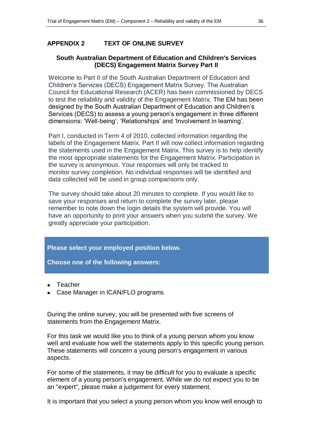## **APPENDIX 2 TEXT OF ONLINE SURVEY**

## **South Australian Department of Education and Children's Services (DECS) Engagement Matrix Survey Part II**

Welcome to Part II of the South Australian Department of Education and Children"s Services (DECS) Engagement Matrix Survey. The Australian Council for Educational Research (ACER) has been commissioned by DECS to test the reliability and validity of the Engagement Matrix. The EM has been designed by the South Australian Department of Education and Children"s Services (DECS) to assess a young person's engagement in three different dimensions: 'Well-being', 'Relationships' and 'Involvement in learning'.

Part I, conducted in Term 4 of 2010, collected information regarding the labels of the Engagement Matrix. Part II will now collect information regarding the statements used in the Engagement Matrix. This survey is to help identify the most appropriate statements for the Engagement Matrix. Participation in the survey is anonymous. Your responses will only be tracked to monitor survey completion. No individual responses will be identified and data collected will be used in group comparisons only.

The survey should take about 20 minutes to complete. If you would like to save your responses and return to complete the survey later, please remember to note down the login details the system will provide. You will have an opportunity to print your answers when you submit the survey. We greatly appreciate your participation.

**Please select your employed position below.**

**Choose one of the following answers:**

- Teacher
- Case Manager in ICAN/FLO programs

During the online survey, you will be presented with five screens of statements from the Engagement Matrix.

For this task we would like you to think of a young person whom you know well and evaluate how well the statements apply to this specific young person. These statements will concern a young person's engagement in various aspects.

For some of the statements, it may be difficult for you to evaluate a specific element of a young person's engagement. While we do not expect you to be an "expert", please make a judgement for every statement.

It is important that you select a young person whom you know well enough to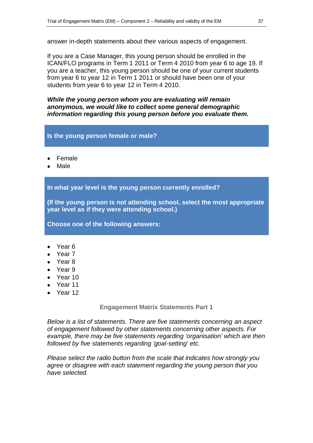answer in-depth statements about their various aspects of engagement.

If you are a Case Manager, this young person should be enrolled in the ICAN/FLO programs in Term 1 2011 or Term 4 2010 from year 6 to age 19. If you are a teacher, this young person should be one of your current students from year 6 to year 12 in Term 1 2011 or should have been one of your students from year 6 to year 12 in Term 4 2010.

*While the young person whom you are evaluating will remain anonymous, we would like to collect some general demographic information regarding this young person before you evaluate them.*

## **Is the young person female or male?**

- Female
- Male

**In what year level is the young person currently enrolled?**

**(If the young person is not attending school, select the most appropriate year level as if they were attending school.)**

**Choose one of the following answers:**

- Year 6
- Year 7
- Year 8
- Year 9
- Year 10
- Year 11
- $\bullet$  Year 12

#### **Engagement Matrix Statements Part 1**

*Below is a list of statements. There are five statements concerning an aspect of engagement followed by other statements concerning other aspects. For example, there may be five statements regarding 'organisation' which are then followed by five statements regarding 'goal-setting' etc.* 

*Please select the radio button from the scale that indicates how strongly you agree or disagree with each statement regarding the young person that you have selected.*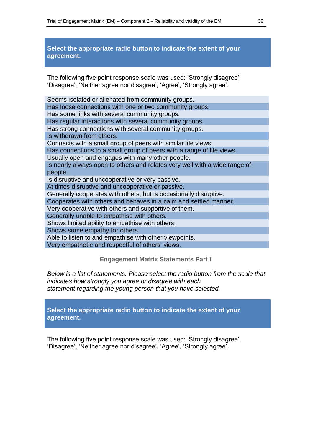**Select the appropriate radio button to indicate the extent of your agreement.**

The following five point response scale was used: "Strongly disagree", 'Disagree', 'Neither agree nor disagree', 'Agree', 'Strongly agree',

Seems isolated or alienated from community groups. Has loose connections with one or two community groups. Has some links with several community groups. Has regular interactions with several community groups. Has strong connections with several community groups. Is withdrawn from others. Connects with a small group of peers with similar life views. Has connections to a small group of peers with a range of life views. Usually open and engages with many other people. Is nearly always open to others and relates very well with a wide range of people. Is disruptive and uncooperative or very passive. At times disruptive and uncooperative or passive. Generally cooperates with others, but is occasionally disruptive. Cooperates with others and behaves in a calm and settled manner. Very cooperative with others and supportive of them. Generally unable to empathise with others. Shows limited ability to empathise with others. Shows some empathy for others. Able to listen to and empathise with other viewpoints. Very empathetic and respectful of others" views.

**Engagement Matrix Statements Part II**

*Below is a list of statements. Please select the radio button from the scale that indicates how strongly you agree or disagree with each statement regarding the young person that you have selected.*

**Select the appropriate radio button to indicate the extent of your agreement.**

The following five point response scale was used: "Strongly disagree", "Disagree", 'Neither agree nor disagree', 'Agree', 'Strongly agree'.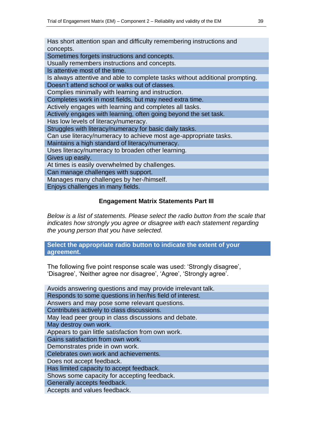Has short attention span and difficulty remembering instructions and concepts. Sometimes forgets instructions and concepts. Usually remembers instructions and concepts. Is attentive most of the time. Is always attentive and able to complete tasks without additional prompting. Doesn"t attend school or walks out of classes. Complies minimally with learning and instruction. Completes work in most fields, but may need extra time. Actively engages with learning and completes all tasks. Actively engages with learning, often going beyond the set task. Has low levels of literacy/numeracy. Struggles with literacy/numeracy for basic daily tasks. Can use literacy/numeracy to achieve most age-appropriate tasks. Maintains a high standard of literacy/numeracy. Uses literacy/numeracy to broaden other learning. Gives up easily. At times is easily overwhelmed by challenges. Can manage challenges with support. Manages many challenges by her-/himself. Enjoys challenges in many fields.

## **Engagement Matrix Statements Part III**

*Below is a list of statements. Please select the radio button from the scale that indicates how strongly you agree or disagree with each statement regarding the young person that you have selected.*

## **Select the appropriate radio button to indicate the extent of your agreement.**

The following five point response scale was used: "Strongly disagree", "Disagree", 'Neither agree nor disagree', 'Agree', 'Strongly agree'.

| Avoids answering questions and may provide irrelevant talk. |
|-------------------------------------------------------------|
| Responds to some questions in her/his field of interest.    |
| Answers and may pose some relevant questions.               |
| Contributes actively to class discussions.                  |
| May lead peer group in class discussions and debate.        |
| May destroy own work.                                       |
| Appears to gain little satisfaction from own work.          |
| Gains satisfaction from own work.                           |
| Demonstrates pride in own work.                             |
| Celebrates own work and achievements.                       |
| Does not accept feedback.                                   |
| Has limited capacity to accept feedback.                    |
| Shows some capacity for accepting feedback.                 |
| Generally accepts feedback.                                 |
| Accepts and values feedback.                                |
|                                                             |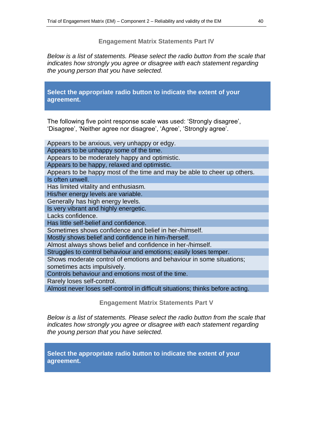#### **Engagement Matrix Statements Part IV**

*Below is a list of statements. Please select the radio button from the scale that indicates how strongly you agree or disagree with each statement regarding the young person that you have selected.*

**Select the appropriate radio button to indicate the extent of your agreement.**

The following five point response scale was used: "Strongly disagree", 'Disagree', 'Neither agree nor disagree', 'Agree', 'Strongly agree'.

| Appears to be anxious, very unhappy or edgy.                                   |
|--------------------------------------------------------------------------------|
| Appears to be unhappy some of the time.                                        |
| Appears to be moderately happy and optimistic.                                 |
| Appears to be happy, relaxed and optimistic.                                   |
| Appears to be happy most of the time and may be able to cheer up others.       |
| Is often unwell.                                                               |
| Has limited vitality and enthusiasm.                                           |
| His/her energy levels are variable.                                            |
| Generally has high energy levels.                                              |
| Is very vibrant and highly energetic.                                          |
| Lacks confidence.                                                              |
| Has little self-belief and confidence.                                         |
| Sometimes shows confidence and belief in her-/himself.                         |
| Mostly shows belief and confidence in him-/herself.                            |
| Almost always shows belief and confidence in her-/himself.                     |
| Struggles to control behaviour and emotions; easily loses temper.              |
| Shows moderate control of emotions and behaviour in some situations;           |
| sometimes acts impulsively.                                                    |
| Controls behaviour and emotions most of the time.                              |
| Rarely loses self-control.                                                     |
| Almost never loses self-control in difficult situations; thinks before acting. |
|                                                                                |

**Engagement Matrix Statements Part V**

*Below is a list of statements. Please select the radio button from the scale that indicates how strongly you agree or disagree with each statement regarding the young person that you have selected.*

**Select the appropriate radio button to indicate the extent of your agreement.**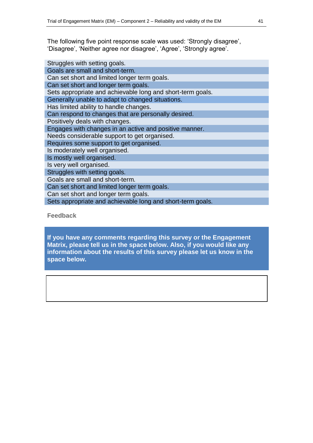The following five point response scale was used: "Strongly disagree", 'Disagree', 'Neither agree nor disagree', 'Agree', 'Strongly agree'.

| Struggles with setting goals.                              |
|------------------------------------------------------------|
| Goals are small and short-term.                            |
| Can set short and limited longer term goals.               |
| Can set short and longer term goals.                       |
| Sets appropriate and achievable long and short-term goals. |
| Generally unable to adapt to changed situations.           |
| Has limited ability to handle changes.                     |
| Can respond to changes that are personally desired.        |
| Positively deals with changes.                             |
| Engages with changes in an active and positive manner.     |
| Needs considerable support to get organised.               |
| Requires some support to get organised.                    |
| Is moderately well organised.                              |
| Is mostly well organised.                                  |
| Is very well organised.                                    |
| Struggles with setting goals.                              |
| Goals are small and short-term.                            |
| Can set short and limited longer term goals.               |
| Can set short and longer term goals.                       |
| Sets appropriate and achievable long and short-term goals. |

**Feedback**

**If you have any comments regarding this survey or the Engagement Matrix, please tell us in the space below. Also, if you would like any information about the results of this survey please let us know in the space below.**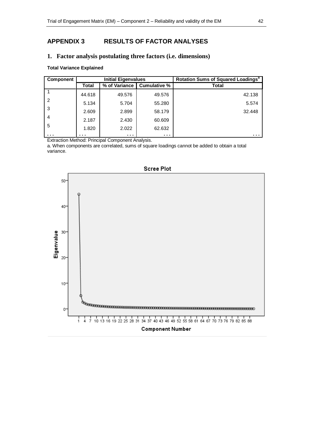## **APPENDIX 3 RESULTS OF FACTOR ANALYSES**

#### **1. Factor analysis postulating three factors (i.e. dimensions)**

#### **Total Variance Explained**

| Component      | <b>Initial Eigenvalues</b> |                      |                     | Rotation Sums of Squared Loadings <sup>a</sup> |
|----------------|----------------------------|----------------------|---------------------|------------------------------------------------|
|                | Total                      | % of Variance        | <b>Cumulative %</b> | <b>Total</b>                                   |
|                | 44.618                     | 49.576               | 49.576              | 42.138                                         |
| $\overline{2}$ | 5.134                      | 5.704                | 55.280              | 5.574                                          |
| 3              | 2.609                      | 2.899                | 58.179              | 32.448                                         |
| 4              | 2.187                      | 2.430                | 60.609              |                                                |
| 5              | 1.820                      | 2.022                | 62.632              |                                                |
| .              | .                          | $\sim$ $\sim$ $\sim$ | $\cdots$            | .                                              |

Extraction Method: Principal Component Analysis.

a. When components are correlated, sums of square loadings cannot be added to obtain a total variance.



Scree Plot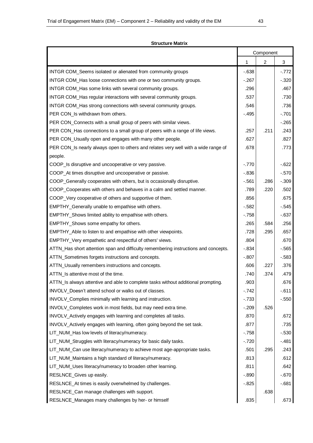#### **Structure Matrix**

|                                                                                     |          | Component      |          |
|-------------------------------------------------------------------------------------|----------|----------------|----------|
|                                                                                     | 1        | $\overline{2}$ | 3        |
| INTGR COM_Seems isolated or alienated from community groups                         | $-0.638$ |                | $-.772$  |
| INTGR COM_Has loose connections with one or two community groups.                   | $-.267$  |                | $-.320$  |
| INTGR COM_Has some links with several community groups.                             | .296     |                | .467     |
| INTGR COM_Has regular interactions with several community groups.                   | .537     |                | .730     |
| INTGR COM_Has strong connections with several community groups.                     | .546     |                | .736     |
| PER CON_Is withdrawn from others.                                                   | $-.495$  |                | $-.701$  |
| PER CON_Connects with a small group of peers with similar views.                    |          |                | $-.265$  |
| PER CON_Has connections to a small group of peers with a range of life views.       | .257     | .211           | .243     |
| PER CON_Usually open and engages with many other people.                            | .627     |                | .827     |
| PER CON_Is nearly always open to others and relates very well with a wide range of  | .678     |                | .773     |
| people.                                                                             |          |                |          |
| COOP_Is disruptive and uncooperative or very passive.                               | $-.770$  |                | $-622$   |
| COOP_At times disruptive and uncooperative or passive.                              | $-0.836$ |                | $-.570$  |
| COOP_Generally cooperates with others, but is occasionally disruptive.              | $-0.561$ | .286           | $-.309$  |
| COOP_Cooperates with others and behaves in a calm and settled manner.               | .789     | .220           | .502     |
| COOP_Very cooperative of others and supportive of them.                             | .856     |                | .675     |
| EMPTHY_Generally unable to empathise with others.                                   | $-0.582$ |                | $-0.545$ |
| EMPTHY_Shows limited ability to empathise with others.                              | $-.758$  |                | $-637$   |
| EMPTHY_Shows some empathy for others.                                               | .265     | .584           | .256     |
| EMPTHY_Able to listen to and empathise with other viewpoints.                       | .728     | .295           | .657     |
| EMPTHY_Very empathetic and respectful of others' views.                             | .804     |                | .670     |
| ATTN_Has short attention span and difficulty remembering instructions and concepts. | $-0.834$ |                | $-565$   |
| ATTN_Sometimes forgets instructions and concepts.                                   | $-.807$  |                | $-583$   |
| ATTN_Usually remembers instructions and concepts.                                   | .606     | .227           | .376     |
| ATTN_Is attentive most of the time.                                                 | .740     | .374           | .479     |
| ATTN Is always attentive and able to complete tasks without additional prompting.   | .903     |                | .676     |
| INVOLV Doesn't attend school or walks out of classes.                               | $-.742$  |                | $-611$   |
| INVOLV_Complies minimally with learning and instruction.                            | $-733$   |                | $-.550$  |
| INVOLV_Completes work in most fields, but may need extra time.                      | $-.209$  | .526           |          |
| INVOLV_Actively engages with learning and completes all tasks.                      | .870     |                | .672     |
| INVOLV_Actively engages with learning, often going beyond the set task.             | .877     |                | .735     |
| LIT_NUM_Has low levels of literacy/numeracy.                                        | $-758$   |                | $-.530$  |
| LIT_NUM_Struggles with literacy/numeracy for basic daily tasks.                     | $-.720$  |                | $-.481$  |
| LIT_NUM_Can use literacy/numeracy to achieve most age-appropriate tasks.            | .501     | .295           | .243     |
| LIT_NUM_Maintains a high standard of literacy/numeracy.                             | .813     |                | .612     |
| LIT_NUM_Uses literacy/numeracy to broaden other learning.                           | .811     |                | .642     |
| RESLNCE_Gives up easily.                                                            | $-0.890$ |                | $-0.670$ |
| RESLNCE_At times is easily overwhelmed by challenges.                               | $-0.825$ |                | $-681$   |
| RESLNCE_Can manage challenges with support.                                         |          | .638           |          |
| RESLNCE_Manages many challenges by her- or himself                                  | .835     |                | .673     |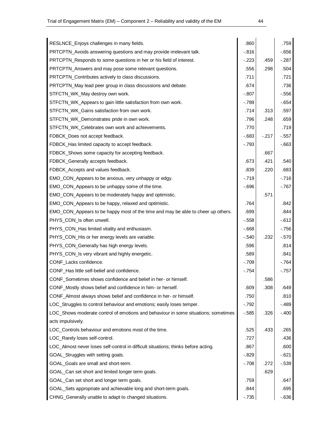| RESLNCE_Enjoys challenges in many fields.                                          | .860     |        | .759     |
|------------------------------------------------------------------------------------|----------|--------|----------|
| PRTCPTN_Avoids answering questions and may provide irrelevant talk.                | $-0.816$ |        | $-656$   |
| PRTCPTN_Responds to some questions in her or his field of interest.                | $-223$   | .459   | $-.287$  |
| PRTCPTN_Answers and may pose some relevant questions.                              | .556     | .298   | .504     |
| PRTCPTN_Contributes actively to class discussions.                                 | .711     |        | .721     |
| PRTCPTN_May lead peer group in class discussions and debate.                       | .674     |        | .736     |
| STFCTN_WK_May destroy own work.                                                    | $-0.807$ |        | $-.556$  |
| STFCTN_WK_Appears to gain little satisfaction from own work.                       | $-789$   |        | $-654$   |
| STFCTN_WK_Gains satisfaction from own work.                                        | .714     | .313   | .597     |
| STFCTN_WK_Demonstrates pride in own work.                                          | .796     | .248   | .659     |
| STFCTN_WK_Celebrates own work and achievements.                                    | .770     |        | .719     |
| FDBCK_Does not accept feedback.                                                    | $-683$   | $-217$ | $-0.557$ |
| FDBCK_Has limited capacity to accept feedback.                                     | $-793$   |        | $-663$   |
| FDBCK_Shows some capacity for accepting feedback.                                  |          | .667   |          |
| FDBCK_Generally accepts feedback.                                                  | .673     | .421   | .540     |
| FDBCK_Accepts and values feedback.                                                 | .839     | .220   | .683     |
| EMO_CON_Appears to be anxious, very unhappy or edgy.                               | $-.719$  |        | $-716$   |
| EMO_CON_Appears to be unhappy some of the time.                                    | $-0.696$ |        | $-767$   |
| EMO_CON_Appears to be moderately happy and optimistic.                             |          | .571   |          |
| EMO_CON_Appears to be happy, relaxed and optimistic.                               | .764     |        | .842     |
| EMO_CON_Appears to be happy most of the time and may be able to cheer up others.   | .699     |        | .844     |
| PHYS_CON_Is often unwell.                                                          | $-558$   |        | $-612$   |
| PHYS_CON_Has limited vitality and enthusiasm.                                      | $-668$   |        | $-756$   |
| PHYS_CON_His or her energy levels are variable.                                    | $-.540$  | .232   | $-.570$  |
| PHYS_CON_Generally has high energy levels.                                         | .596     |        | .814     |
| PHYS_CON_Is very vibrant and highly energetic.                                     | .589     |        | .841     |
| CONF_Lacks confidence.                                                             | $-709$   |        | $-764$   |
| CONF_Has little self-belief and confidence.                                        | $-.754$  |        | $-757$   |
| CONF_Sometimes shows confidence and belief in her- or himself.                     |          | .586   |          |
| CONF_Mostly shows belief and confidence in him- or herself.                        | .609     | .308   | .649     |
| CONF_Almost always shows belief and confidence in her- or himself.                 | .750     |        | .810     |
| LOC_Struggles to control behaviour and emotions; easily loses temper.              | $-0.792$ |        | $-.489$  |
| LOC_Shows moderate control of emotions and behaviour in some situations; sometimes | $-585$   | .326   | $-.400$  |
| acts impulsively.                                                                  |          |        |          |
| LOC_Controls behaviour and emotions most of the time.                              | .525     | .433   | .265     |
| LOC_Rarely loses self-control.                                                     | .727     |        | .436     |
| LOC_Almost never loses self-control in difficult situations; thinks before acting. | .867     |        | .600     |
| GOAL_Struggles with setting goals.                                                 | $-0.829$ |        | $-621$   |
| GOAL_Goals are small and short-term.                                               | $-708$   | .272   | $-.539$  |
| GOAL_Can set short and limited longer term goals.                                  |          | .629   |          |
| GOAL_Can set short and longer term goals.                                          | .759     |        | .647     |
| GOAL_Sets appropriate and achievable long and short-term goals.                    | .844     |        | .695     |

CHNG\_Generally unable to adapt to changed situations.<br>CHNG\_Generally unable to adapt to changed situations.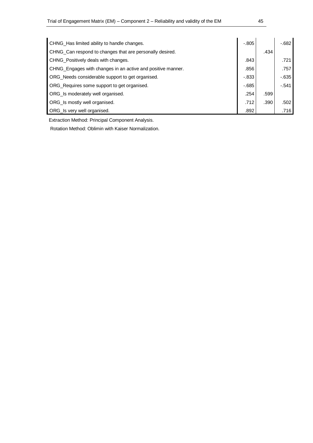| CHNG_Has limited ability to handle changes.                 | $-.805$  |      | $-682$  |
|-------------------------------------------------------------|----------|------|---------|
| CHNG_Can respond to changes that are personally desired.    |          | .434 |         |
| CHNG_Positively deals with changes.                         | .843     |      | .721    |
| CHNG_Engages with changes in an active and positive manner. | .856     |      | .757    |
| ORG_Needs considerable support to get organised.            | $-0.833$ |      | $-635$  |
| ORG_Requires some support to get organised.                 | $-685$   |      | $-.541$ |
| ORG_Is moderately well organised.                           | .254     | .599 |         |
| ORG_Is mostly well organised.                               | .712     | .390 | .502    |
| ORG_Is very well organised.                                 | .892     |      | .716    |

Extraction Method: Principal Component Analysis.

Rotation Method: Oblimin with Kaiser Normalization.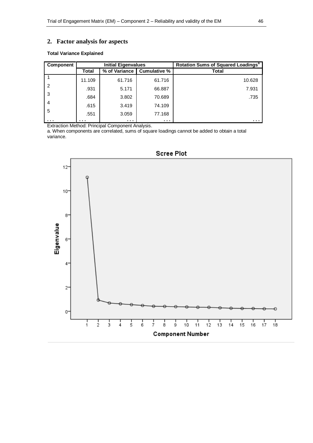## **2. Factor analysis for aspects**

#### **Total Variance Explained**

| <b>Component</b> | <b>Initial Eigenvalues</b> |                      |                     | Rotation Sums of Squared Loadings <sup>a</sup> |
|------------------|----------------------------|----------------------|---------------------|------------------------------------------------|
|                  | <b>Total</b>               | % of Variance        | <b>Cumulative %</b> | Total                                          |
|                  | 11.109                     | 61.716               | 61.716              | 10.628                                         |
| $\overline{2}$   | .931                       | 5.171                | 66.887              | 7.931                                          |
| -3               | .684                       | 3.802                | 70.689              | .735                                           |
| $\overline{4}$   | .615                       | 3.419                | 74.109              |                                                |
| 5                | .551                       | 3.059                | 77.168              |                                                |
| .                | .                          | $\sim$ $\sim$ $\sim$ | $\cdots$            | .                                              |

Extraction Method: Principal Component Analysis.

a. When components are correlated, sums of square loadings cannot be added to obtain a total variance.



## **Scree Plot**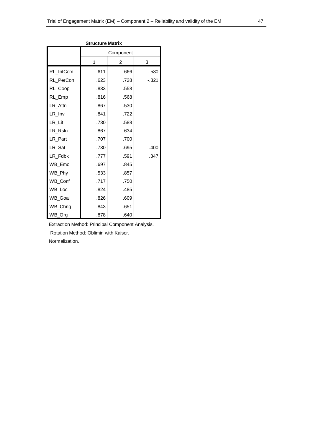| Structure Matrix |           |      |         |  |  |  |  |
|------------------|-----------|------|---------|--|--|--|--|
|                  | Component |      |         |  |  |  |  |
|                  | 1         | 2    | 3       |  |  |  |  |
| RL_IntCom        | .611      | .666 | $-.530$ |  |  |  |  |
| RL_PerCon        | .623      | .728 | $-.321$ |  |  |  |  |
| RL_Coop          | .833      | .558 |         |  |  |  |  |
| RL_Emp           | .816      | .568 |         |  |  |  |  |
| LR_Attn          | .867      | .530 |         |  |  |  |  |
| LR_Inv           | .841      | .722 |         |  |  |  |  |
| LR_Lit           | .730      | .588 |         |  |  |  |  |
| LR_Rsln          | .867      | .634 |         |  |  |  |  |
| LR_Part          | .707      | .700 |         |  |  |  |  |
| LR_Sat           | .730      | .695 | .400    |  |  |  |  |
| LR_Fdbk          | .777      | .591 | .347    |  |  |  |  |
| WB_Emo           | .697      | .845 |         |  |  |  |  |
| WB_Phy           | .533      | .857 |         |  |  |  |  |
| WB_Conf          | .717      | .750 |         |  |  |  |  |
| WB_Loc           | .824      | .485 |         |  |  |  |  |
| WB_Goal          | .826      | .609 |         |  |  |  |  |
| WB_Chng          | .843      | .651 |         |  |  |  |  |
| WB_Org           | .878      | .640 |         |  |  |  |  |

#### **Structure Matrix**

Extraction Method: Principal Component Analysis. Rotation Method: Oblimin with Kaiser. Normalization.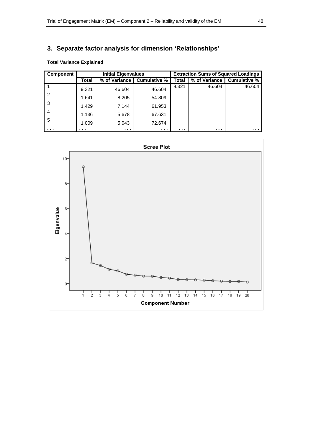## **3. Separate factor analysis for dimension 'Relationships'**

| Component |       | <b>Initial Eigenvalues</b> |                     |       | <b>Extraction Sums of Squared Loadings</b> |              |
|-----------|-------|----------------------------|---------------------|-------|--------------------------------------------|--------------|
|           | Total | % of Variance              | <b>Cumulative %</b> | Total | % of Variance                              | Cumulative % |
|           | 9.321 | 46.604                     | 46.604              | 9.321 | 46.604                                     | 46.604       |
| 2         | 1.641 | 8.205                      | 54.809              |       |                                            |              |
| 3         | 1.429 | 7.144                      | 61.953              |       |                                            |              |
| 4         | 1.136 | 5.678                      | 67.631              |       |                                            |              |
| 5         | 1.009 | 5.043                      | 72.674              |       |                                            |              |
| $\cdots$  | .     | $\sim 100$                 | .                   | .     | .                                          | .            |



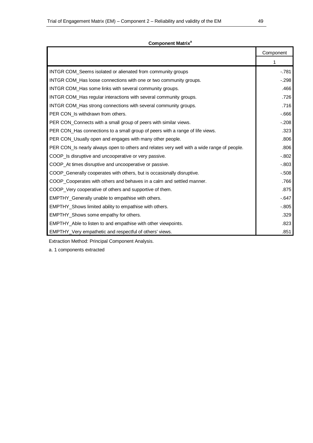|                                                                                            | Component |
|--------------------------------------------------------------------------------------------|-----------|
|                                                                                            | 1         |
| INTGR COM_Seems isolated or alienated from community groups                                | $-.781$   |
| INTGR COM_Has loose connections with one or two community groups.                          | $-0.298$  |
| INTGR COM_Has some links with several community groups.                                    | .466      |
| INTGR COM_Has regular interactions with several community groups.                          | .726      |
| INTGR COM_Has strong connections with several community groups.                            | .716      |
| PER CON_Is withdrawn from others.                                                          | $-666$    |
| PER CON_Connects with a small group of peers with similar views.                           | $-.208$   |
| PER CON_Has connections to a small group of peers with a range of life views.              | .323      |
| PER CON_Usually open and engages with many other people.                                   | .806      |
| PER CON_Is nearly always open to others and relates very well with a wide range of people. | .806      |
| COOP_Is disruptive and uncooperative or very passive.                                      | $-0.802$  |
| COOP_At times disruptive and uncooperative or passive.                                     | $-.803$   |
| COOP_Generally cooperates with others, but is occasionally disruptive.                     | $-.508$   |
| COOP_Cooperates with others and behaves in a calm and settled manner.                      | .766      |
| COOP_Very cooperative of others and supportive of them.                                    | .875      |
| EMPTHY_Generally unable to empathise with others.                                          | $-647$    |
| EMPTHY_Shows limited ability to empathise with others.                                     | $-.805$   |
| EMPTHY_Shows some empathy for others.                                                      | .329      |
| EMPTHY_Able to listen to and empathise with other viewpoints.                              | .823      |
| EMPTHY_Very empathetic and respectful of others' views.                                    | .851      |

#### **Component Matrix<sup>a</sup>**

Extraction Method: Principal Component Analysis.

a. 1 components extracted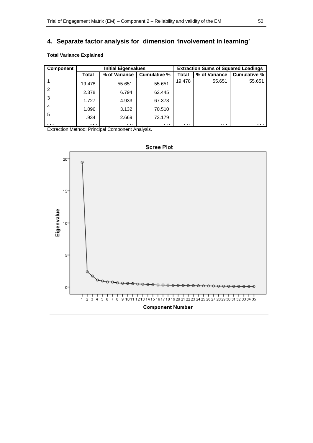# **4. Separate factor analysis for dimension 'Involvement in learning'**

#### **Total Variance Explained**

| <b>Component</b> | <b>Initial Eigenvalues</b> |               |                      |          | <b>Extraction Sums of Squared Loadings</b> |              |
|------------------|----------------------------|---------------|----------------------|----------|--------------------------------------------|--------------|
|                  | Total                      | % of Variance | Cumulative %         | Total    | % of Variance                              | Cumulative % |
|                  | 19.478                     | 55.651        | 55.651               | 19.478   | 55.651                                     | 55.651       |
| 2                | 2.378                      | 6.794         | 62.445               |          |                                            |              |
| -3               | 1.727                      | 4.933         | 67.378               |          |                                            |              |
| 4                | 1.096                      | 3.132         | 70.510               |          |                                            |              |
| 5                | .934                       | 2.669         | 73.179               |          |                                            |              |
| .                | $\cdots$                   | .             | $\sim$ $\sim$ $\sim$ | $\cdots$ | $\cdots$                                   | .            |

Extraction Method: Principal Component Analysis.



**Scree Plot**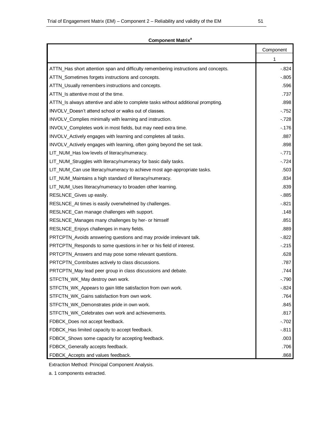#### **Component Matrix<sup>a</sup>**

|                                                                                     | Component |
|-------------------------------------------------------------------------------------|-----------|
|                                                                                     | 1         |
| ATTN_Has short attention span and difficulty remembering instructions and concepts. | $-.824$   |
| ATTN_Sometimes forgets instructions and concepts.                                   | $-.805$   |
| ATTN_Usually remembers instructions and concepts.                                   | .596      |
| ATTN_Is attentive most of the time.                                                 | .737      |
| ATTN_Is always attentive and able to complete tasks without additional prompting.   | .898      |
| INVOLV Doesn't attend school or walks out of classes.                               | $-752$    |
| INVOLV_Complies minimally with learning and instruction.                            | $-728$    |
| INVOLV_Completes work in most fields, but may need extra time.                      | $-.176$   |
| INVOLV_Actively engages with learning and completes all tasks.                      | .887      |
| INVOLV_Actively engages with learning, often going beyond the set task.             | .898      |
| LIT_NUM_Has low levels of literacy/numeracy.                                        | $-.771$   |
| LIT_NUM_Struggles with literacy/numeracy for basic daily tasks.                     | $-.724$   |
| LIT_NUM_Can use literacy/numeracy to achieve most age-appropriate tasks.            | .503      |
| LIT_NUM_Maintains a high standard of literacy/numeracy.                             | .834      |
| LIT_NUM_Uses literacy/numeracy to broaden other learning.                           | .839      |
| RESLNCE_Gives up easily.                                                            | $-0.885$  |
| RESLNCE_At times is easily overwhelmed by challenges.                               | $-.821$   |
| RESLNCE_Can manage challenges with support.                                         | .148      |
| RESLNCE_Manages many challenges by her- or himself                                  | .851      |
| RESLNCE_Enjoys challenges in many fields.                                           | .889      |
| PRTCPTN_Avoids answering questions and may provide irrelevant talk.                 | $-.822$   |
| PRTCPTN_Responds to some questions in her or his field of interest.                 | $-215$    |
| PRTCPTN_Answers and may pose some relevant questions.                               | .628      |
| PRTCPTN_Contributes actively to class discussions.                                  | .787      |
| PRTCPTN_May lead peer group in class discussions and debate.                        | .744      |
| STFCTN_WK_May destroy own work.                                                     | $-0.790$  |
| STFCTN_WK_Appears to gain little satisfaction from own work.                        | $-0.824$  |
| STFCTN_WK_Gains satisfaction from own work.                                         | .764      |
| STFCTN_WK_Demonstrates pride in own work.                                           | .845      |
| STFCTN_WK_Celebrates own work and achievements.                                     | .817      |
| FDBCK_Does not accept feedback.                                                     | $-702$    |
| FDBCK_Has limited capacity to accept feedback.                                      | $-.811$   |
| FDBCK_Shows some capacity for accepting feedback.                                   | .003      |
| FDBCK_Generally accepts feedback.                                                   | .706      |
| FDBCK_Accepts and values feedback.                                                  | .868      |

Extraction Method: Principal Component Analysis.

a. 1 components extracted.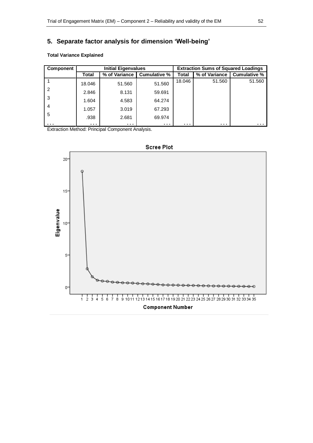# **5. Separate factor analysis for dimension 'Well-being'**

#### **Total Variance Explained**

| Component |                      | <b>Initial Eigenvalues</b> |              |                      | <b>Extraction Sums of Squared Loadings</b> |              |
|-----------|----------------------|----------------------------|--------------|----------------------|--------------------------------------------|--------------|
|           | Total                | % of Variance              | Cumulative % | <b>Total</b>         | % of Variance                              | Cumulative % |
|           | 18.046               | 51.560                     | 51.560       | 18.046               | 51.560                                     | 51.560       |
| 2         | 2.846                | 8.131                      | 59.691       |                      |                                            |              |
| -3        | 1.604                | 4.583                      | 64.274       |                      |                                            |              |
| 4         | 1.057                | 3.019                      | 67.293       |                      |                                            |              |
| 5         | .938                 | 2.681                      | 69.974       |                      |                                            |              |
| .         | $\sim$ $\sim$ $\sim$ | $\sim$ $\sim$ $\sim$       | .            | $\sim$ $\sim$ $\sim$ | .                                          | .            |

Extraction Method: Principal Component Analysis.

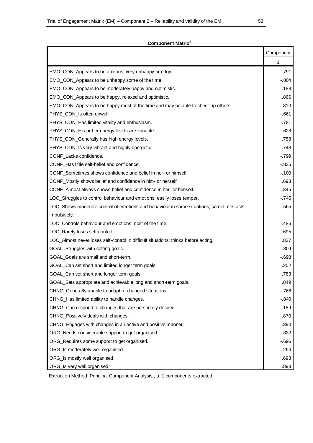#### **Component Matrix<sup>a</sup>**

|                                                                                         | Component |
|-----------------------------------------------------------------------------------------|-----------|
|                                                                                         | 1         |
| EMO_CON_Appears to be anxious, very unhappy or edgy.                                    | $-.791$   |
| EMO_CON_Appears to be unhappy some of the time.                                         | $-.804$   |
| EMO_CON_Appears to be moderately happy and optimistic.                                  | .188      |
| EMO_CON_Appears to be happy, relaxed and optimistic.                                    | .866      |
| EMO_CON_Appears to be happy most of the time and may be able to cheer up others.        | .810      |
| PHYS_CON_Is often unwell.                                                               | -.661     |
| PHYS_CON_Has limited vitality and enthusiasm.                                           | -.781     |
| PHYS_CON_His or her energy levels are variable.                                         | $-628$    |
| PHYS_CON_Generally has high energy levels.                                              | .758      |
| PHYS_CON_Is very vibrant and highly energetic.                                          | .748      |
| CONF_Lacks confidence.                                                                  | $-.799$   |
| CONF_Has little self-belief and confidence.                                             | $-0.835$  |
| CONF_Sometimes shows confidence and belief in her- or himself.                          | $-.100$   |
| CONF_Mostly shows belief and confidence in him- or herself.                             | .693      |
| CONF_Almost always shows belief and confidence in her- or himself.                      | .845      |
| LOC_Struggles to control behaviour and emotions; easily loses temper.                   | $-745$    |
| LOC_Shows moderate control of emotions and behaviour in some situations; sometimes acts | $-.565$   |
| impulsively.                                                                            |           |
| LOC_Controls behaviour and emotions most of the time.                                   | .486      |
| LOC_Rarely loses self-control.                                                          | .695      |
| LOC_Almost never loses self-control in difficult situations; thinks before acting.      | .837      |
| GOAL_Struggles with setting goals.                                                      | $-.809$   |
| GOAL Goals are small and short-term.                                                    | $-698$    |
| GOAL_Can set short and limited longer term goals.                                       | .202      |
| GOAL_Can set short and longer term goals.                                               | .783      |
| GOAL_Sets appropriate and achievable long and short-term goals.                         | .849      |
| CHNG_Generally unable to adapt to changed situations.                                   | $-766$    |
| CHNG_Has limited ability to handle changes.                                             | $-.840$   |
| CHNG_Can respond to changes that are personally desired.                                | .189      |
| CHNG_Positively deals with changes.                                                     | .870      |
| CHNG_Engages with changes in an active and positive manner.                             | .890      |
| ORG_Needs considerable support to get organised.                                        | $-0.832$  |
| ORG_Requires some support to get organised.                                             | $-696$    |
| ORG_Is moderately well organised.                                                       | .264      |
| ORG_Is mostly well organised.                                                           | .698      |
| ORG_Is very well organised.                                                             | .893      |

Extraction Method: Principal Component Analysis.; a. 1 components extracted.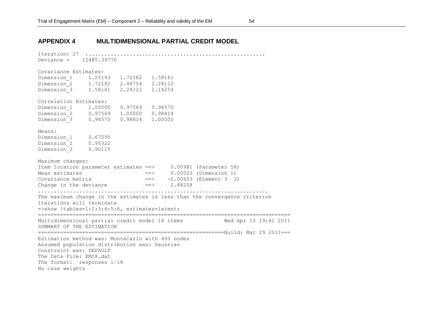#### **APPENDIX 4 MULTIDIMENSIONAL PARTIAL CREDIT MODEL**

Iteration: 27 ......................................................... Deviance = 12485.39770 Covariance Estimates: Dimension 1 1.25193 1.72182 1.58161 Dimension<sup>-2</sup> 1.72182 2.48754 2.28122 Dimension\_3 1.58161 2.28122 2.14254 Correlation Estimates: Dimension 1 1.00000 0.97569 0.96570 Dimension<sup>2</sup> 0.97569 1.00000 0.98814 Dimension\_3 0.96570 0.98814 1.00000 Means: Dimension\_1 0.67095 Dimension\_2 0.95322 Dimension\_3 0.90115 Maximum changes: Item location parameter estimates ==> 0.00981 (Parameter 58) Mean estimates  $==>$  0.00023 (Dimension 1) Covariance matrix  $==> -0.00603$  (Element 3 3) Change in the deviance  $\qquad \qquad == \qquad \qquad 2.88258$ ......................................................................... The maximum change in the estimates is less than the convergence criterion Iterations will terminate =>show !tables=1:2:3:4:5:6, estimates=latent; ================================================================================ Multidimensional partial credit model 18 items Wed Apr 13 19:41 2011 SUMMARY OF THE ESTIMATION ===========================================================Build: Mar 29 2011=== Estimation method was: MonteCarlo with 400 nodes Assumed population distribution was: Gaussian Constraint was: DEFAULT The Data File: EM18.dat The format: responses 1-18 No case weights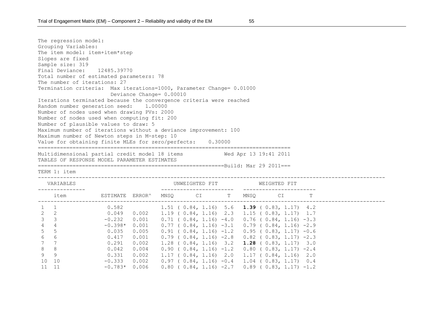The regression model: Grouping Variables: The item model: item+item\*step Slopes are fixed Sample size: 319 Final Deviance: 12485.39770 Total number of estimated parameters: 78 The number of iterations: 27 Termination criteria: Max iterations=1000, Parameter Change= 0.01000 Deviance Change= 0.00010 Iterations terminated because the convergence criteria were reached Random number generation seed: 1.00000 Number of nodes used when drawing PVs: 2000 Number of nodes used when computing fit: 200 Number of plausible values to draw: 5 Maximum number of iterations without a deviance improvement: 100 Maximum number of Newton steps in M-step: 10 Value for obtaining finite MLEs for zero/perfects: 0.30000 ================================================================================ Multidimensional partial credit model 18 items Wed Apr 13 19:41 2011 TABLES OF RESPONSE MODEL PARAMETER ESTIMATES ===========================================================Build: Mar 29 2011===

TERM 1: item

--------------------------------------------------------------------------------------------------------------

|                | VARIABLES      |           |        |      | UNWEIGHTED FIT                                              |   |      | WEIGHTED FIT                     |   |
|----------------|----------------|-----------|--------|------|-------------------------------------------------------------|---|------|----------------------------------|---|
|                | item           | ESTIMATE  | ERROR^ | MNSO | CI                                                          | T | MNSO | CI                               | Т |
|                |                | 0.582     |        |      | 1.51 ( $0.84$ , 1.16) 5.6 <b>1.39</b> ( $0.83$ , 1.17) 4.2  |   |      |                                  |   |
| $2^{\circ}$    | -2             | 0.049     | 0.002  |      | $1.19$ ( $0.84$ , $1.16$ ) 2.3                              |   |      | $1.15$ ( $0.83$ , $1.17$ ) $1.7$ |   |
| 3              | -3             | $-0.232$  | 0.001  |      | $0.71$ ( $0.84$ , 1.16) $-4.0$ 0.76 ( $0.84$ , 1.16) $-3.3$ |   |      |                                  |   |
| $\overline{4}$ | $\overline{4}$ | $-0.398*$ | 0.001  |      | $0.77$ ( $0.84$ , 1.16) $-3.1$ 0.79 ( $0.84$ , 1.16) $-2.9$ |   |      |                                  |   |
| $5\quad 5$     |                | 0.035     | 0.005  |      | $0.91$ ( $0.84$ , 1.16) $-1.2$                              |   |      | $0.95$ ( $0.83$ , 1.17) $-0.6$   |   |
| 6 <sup>1</sup> | -6             | 0.417     | 0.001  |      | $0.79$ ( $0.84$ , 1.16) $-2.8$                              |   |      | $0.82$ ( $0.83$ , 1.17) -2.3     |   |
| 7 7            |                | 0.291     | 0.002  |      | $1.28$ ( $0.84$ , $1.16$ ) $3.2$                            |   |      | <b>1.28</b> ( $0.83$ , 1.17) 3.0 |   |
| 8              | - 8            | 0.042     | 0.004  |      | $0.90$ ( $0.84$ , 1.16) $-1.2$                              |   |      | $0.80$ ( $0.83$ , 1.17) -2.4     |   |
| 9              | - 9            | 0.331     | 0.002  |      | $1.17$ ( $0.84$ , $1.16$ ) 2.0                              |   |      | $1.17$ ( $0.84$ , $1.16$ ) 2.0   |   |
|                | 10 10          | $-0.333$  | 0.002  |      | $0.97$ ( $0.84$ , 1.16) $-0.4$                              |   |      | $1.04$ ( $0.83$ , $1.17$ ) $0.4$ |   |
|                | 11 11          | $-0.783*$ | 0.006  |      | $0.80$ ( $0.84$ , 1.16) -2.7 0.89 ( 0.83, 1.17) -1.2        |   |      |                                  |   |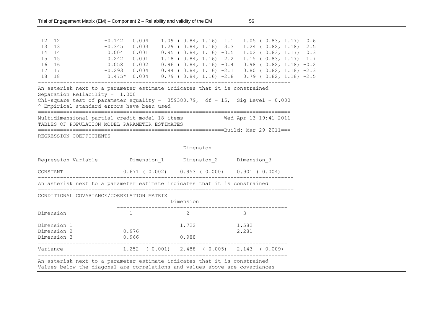| 12 12 |                                                                                                                                                                    | $-0.142$ 0.004                                               |       |                                |  | $1.09$ (0.84, 1.16) 1.1 1.05 (0.83, 1.17) 0.6               |  |
|-------|--------------------------------------------------------------------------------------------------------------------------------------------------------------------|--------------------------------------------------------------|-------|--------------------------------|--|-------------------------------------------------------------|--|
| 13 13 |                                                                                                                                                                    | $-0.345$ 0.003                                               |       |                                |  | 1.29 (0.84, 1.16) 3.3 1.24 (0.82, 1.18) 2.5                 |  |
| 14 14 |                                                                                                                                                                    | 0.004                                                        | 0.001 |                                |  | $0.95$ ( $0.84$ , 1.16) $-0.5$ 1.02 ( $0.83$ , 1.17) 0.3    |  |
| 15 15 |                                                                                                                                                                    | 0.242                                                        | 0.001 | $1.18$ ( $0.84$ , $1.16$ ) 2.2 |  | $1.15$ ( 0.83, 1.17) 1.7                                    |  |
| 16 16 |                                                                                                                                                                    | 0.058                                                        | 0.002 | $0.96$ ( $0.84$ , 1.16) $-0.4$ |  | $0.98$ ( $0.82$ , 1.18) $-0.2$                              |  |
| 17 17 |                                                                                                                                                                    | $-0.293$ 0.004                                               |       |                                |  | $0.84$ ( $0.84$ , 1.16) $-2.1$ 0.80 ( $0.82$ , 1.18) $-2.3$ |  |
| 18 18 |                                                                                                                                                                    | $0.475*$ 0.004 0.79 (0.84, 1.16) -2.8 0.79 (0.82, 1.18) -2.5 |       |                                |  |                                                             |  |
|       | Separation Reliability = $1.000$<br>Chi-square test of parameter equality = $359380.79$ , df = 15, Sig Level = 0.000<br>^ Empirical standard errors have been used |                                                              |       |                                |  |                                                             |  |
|       | Multidimensional partial credit model 18 items<br>TABLES OF POPULATION MODEL PARAMETER ESTIMATES                                                                   |                                                              |       |                                |  | Wed Apr 13 19:41 2011                                       |  |
|       | REGRESSION COEFFICIENTS                                                                                                                                            |                                                              |       |                                |  |                                                             |  |

|                                                                                                                                                          |                | Dimension                                                   |                |
|----------------------------------------------------------------------------------------------------------------------------------------------------------|----------------|-------------------------------------------------------------|----------------|
| Regression Variable                                                                                                                                      |                | Dimension 1 Dimension 2                                     | Dimension 3    |
| CONSTANT                                                                                                                                                 |                | $0.671$ ( $0.002$ ) $0.953$ ( $0.000$ ) $0.901$ ( $0.004$ ) |                |
| An asterisk next to a parameter estimate indicates that it is constrained                                                                                |                |                                                             |                |
| CONDITIONAL COVARIANCE/CORRELATION MATRIX                                                                                                                |                | Dimension                                                   |                |
| Dimension                                                                                                                                                | $\mathbf{1}$   | $\mathcal{L}$                                               | 3              |
| Dimension 1<br>Dimension 2<br>Dimension 3                                                                                                                | 0.976<br>0.966 | 1.722<br>0.988                                              | 1.582<br>2.281 |
| Variance                                                                                                                                                 |                | $1.252$ (0.001) 2.488 (0.005) 2.143 (0.009)                 |                |
| An asterisk next to a parameter estimate indicates that it is constrained<br>Values below the diagonal are correlations and values above are covariances |                |                                                             |                |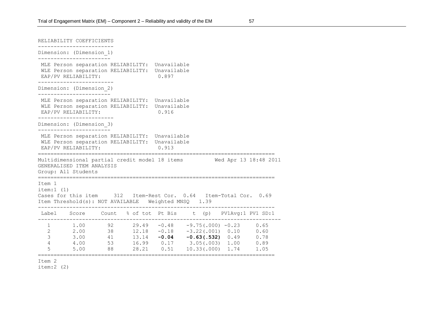| RELIABILITY COEFFICIENTS                                                                                                                                          |                                                                                                                                                                                                                                                                                                      |  |       |  |  |
|-------------------------------------------------------------------------------------------------------------------------------------------------------------------|------------------------------------------------------------------------------------------------------------------------------------------------------------------------------------------------------------------------------------------------------------------------------------------------------|--|-------|--|--|
| Dimension: (Dimension_1)                                                                                                                                          |                                                                                                                                                                                                                                                                                                      |  |       |  |  |
| MLE Person separation RELIABILITY: Unavailable<br>WLE Person separation RELIABILITY: Unavailable<br>EAP/PV RELIABILITY:                                           |                                                                                                                                                                                                                                                                                                      |  | 0.897 |  |  |
| Dimension: (Dimension 2)                                                                                                                                          |                                                                                                                                                                                                                                                                                                      |  |       |  |  |
| MLE Person separation RELIABILITY: Unavailable<br>WLE Person separation RELIABILITY: Unavailable<br>EAP/PV RELIABILITY:                                           |                                                                                                                                                                                                                                                                                                      |  | 0.916 |  |  |
| Dimension: (Dimension 3)                                                                                                                                          |                                                                                                                                                                                                                                                                                                      |  |       |  |  |
| MLE Person separation RELIABILITY: Unavailable<br>WLE Person separation RELIABILITY: Unavailable<br>EAP/PV RELIABILITY:                                           |                                                                                                                                                                                                                                                                                                      |  | 0.913 |  |  |
| ==================================<br>Multidimensional partial credit model 18 items 60 Wed Apr 13 18:48 2011<br>GENERALISED ITEM ANALYSIS<br>Group: All Students |                                                                                                                                                                                                                                                                                                      |  |       |  |  |
| Item 1<br>item:1 (1)<br>Cases for this item 312 Item-Rest Cor. 0.64 Item-Total Cor. 0.69<br>Item Threshold(s): NOT AVAILABLE Weighted MNSQ 1.39                   |                                                                                                                                                                                                                                                                                                      |  |       |  |  |
| Label Score Count % of tot Pt Bis t (p) PV1Avg:1 PV1 SD:1                                                                                                         |                                                                                                                                                                                                                                                                                                      |  |       |  |  |
|                                                                                                                                                                   | $\begin{array}{cccccccc} 1 & 1.00 & 92 & 29.49 & -0.48 & -9.75 \,(\, .000) & -0.23 & 0.65 \\ 2 & 2.00 & 38 & 12.18 & -0.18 & -3.22 \,(\, .001) & 0.10 & 0.60 \\ 3 & 3.00 & 41 & 13.14 & -0.04 & -0.63 \,(\, .532) & 0.49 & 0.78 \\ 4 & 4.00 & 53 & 16.99 & 0.17 & 3.05 \,(\, .003) & 1.00 & 0.89 \\$ |  |       |  |  |

 $item:2 (2)$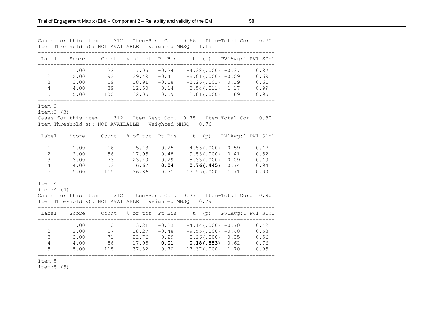|                                                     | Cases for this item<br>Item Threshold(s): NOT AVAILABLE  | 312                         | Item-Rest Cor.                                                       | Weighted MNSQ                                 | 0.66<br>1.15                               | Item-Total Cor.                                                                               | 0.70                                 |
|-----------------------------------------------------|----------------------------------------------------------|-----------------------------|----------------------------------------------------------------------|-----------------------------------------------|--------------------------------------------|-----------------------------------------------------------------------------------------------|--------------------------------------|
| Label                                               | Score                                                    | Count                       | % of tot Pt Bis                                                      |                                               | t<br>(p)                                   |                                                                                               | PV1Avg:1 PV1 SD:1                    |
| 1<br>$\overline{2}$<br>3<br>$\overline{4}$<br>5     | 1.00<br>2.00<br>3.00<br>4.00<br>5.00                     | 22<br>92<br>59<br>39<br>100 | 7.05<br>29.49<br>18.91<br>12.50<br>32.05                             | $-0.24$<br>$-0.41$<br>$-0.18$<br>0.14<br>0.59 | $-3.26(.001)$<br>2.54(.011)<br>12.81(.000) | $-4.38(.000) -0.37$<br>$-8.01(.000) -0.09$<br>0.19<br>1.17<br>1.69                            | 0.87<br>0.69<br>0.61<br>0.99<br>0.95 |
| Item 3<br>item:3(3)                                 | Cases for this item<br>Item Threshold(s): NOT AVAILABLE  | 312                         | Item-Rest Cor.                                                       | Weighted MNSQ                                 | 0.78<br>0.76                               | Item-Total Cor.                                                                               | 0.80                                 |
| Label                                               | Score                                                    | Count                       | % of tot Pt Bis                                                      |                                               | t (p)                                      |                                                                                               | PV1Avg:1 PV1 SD:1                    |
| 1<br>$\mathbf{2}$<br>3<br>$\overline{4}$<br>5       | 1.00<br>2.00<br>3.00<br>4.00<br>5.00<br>================ | 16<br>56<br>73<br>52<br>115 | 5.13<br>17.95<br>23.40<br>16.67<br>36.86                             | $-0.25$<br>$-0.48$<br>$-0.29$<br>0.04<br>0.71 | $-5.33(.000)$<br>0.76(.445)<br>17.95(.000) | $-4.55(.000) -0.59$<br>$-9.53(.000) -0.41$<br>0.09<br>0.74<br>1.71                            | 0.47<br>0.52<br>0.49<br>0.94<br>0.90 |
| Item 4<br>item: 4(4)                                | Cases for this item<br>Item Threshold(s): NOT AVAILABLE  | 312                         | Item-Rest Cor.                                                       | Weighted MNSQ                                 | 0.77<br>0.79                               | Item-Total Cor.                                                                               | 0.80                                 |
| Label                                               | Score                                                    | Count                       | % of tot                                                             | Pt Bis                                        | t (p)                                      |                                                                                               | PV1Avg:1 PV1 SD:1                    |
| $\mathbf 1$<br>$\mathbf{2}$<br>3<br>$\sqrt{4}$<br>5 | 1.00<br>2.00<br>3.00<br>4.00<br>5.00                     | 10<br>57<br>71<br>56<br>118 | 3.21<br>18.27<br>22.76<br>17.95<br>37.82<br>======================== | $-0.23$<br>$-0.48$<br>$-0.29$<br>0.01<br>0.70 | 17.37(.000)<br>=====================       | $-4.14(.000) -0.70$<br>$-9.55(.000) -0.40$<br>$-5.26(.000) 0.05$<br>$0.18(.853)$ 0.62<br>1.70 | 0.42<br>0.53<br>0.56<br>0.76<br>0.95 |
|                                                     |                                                          |                             |                                                                      |                                               |                                            |                                                                                               |                                      |

item:5 (5)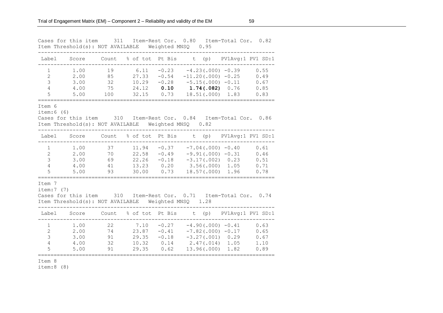|                                                                         |                                      |                             |                                           | ------                                        | Cases for this item 311 Item-Rest Cor. 0.80 Item-Total Cor. 0.82<br>Item Threshold(s): NOT AVAILABLE Weighted MNSQ 0.95   |      |                                      |
|-------------------------------------------------------------------------|--------------------------------------|-----------------------------|-------------------------------------------|-----------------------------------------------|---------------------------------------------------------------------------------------------------------------------------|------|--------------------------------------|
| Label                                                                   |                                      |                             |                                           |                                               | Score Count % of tot Pt Bis t (p) PV1Avg:1 PV1 SD:1                                                                       |      |                                      |
| $\mathbf{1}$<br>$\mathbf{2}$<br>$\mathcal{E}$<br>$\overline{4}$<br>5    | 1.00<br>2.00<br>3.00<br>4.00<br>5.00 | 19<br>85<br>32<br>75<br>100 | 6.11<br>27.33<br>10.29<br>24.12           | $-0.54$<br>0.10<br>32.15 0.73                 | $-0.23 -4.23(.000) -0.39$<br>$-11.20(.000) -0.25$<br>$-0.28 -5.15(.000) -0.11$<br>$1.74(.082)$ 0.76<br>$18.51(.000)$ 1.83 |      | 0.55<br>0.49<br>0.67<br>0.85<br>0.83 |
| Item 6<br>item:6(6)                                                     |                                      |                             |                                           |                                               | Cases for this item 310 Item-Rest Cor. 0.84 Item-Total Cor. 0.86<br>Item Threshold(s): NOT AVAILABLE Weighted MNSQ 0.82   |      |                                      |
| Label                                                                   | Score                                |                             |                                           |                                               | Count % of tot Pt Bis t (p) PV1Avg:1 PV1 SD:1                                                                             |      |                                      |
| $\mathbf{1}$<br>$\overline{2}$<br>$\mathfrak{Z}$<br>$\overline{4}$<br>5 | 1.00<br>2.00<br>3.00<br>4.00<br>5.00 | 37<br>70<br>69<br>41<br>93  | 11.94<br>22.58<br>22.26<br>13.23<br>30.00 | $-0.37$<br>$-0.49$<br>$-0.18$<br>0.20<br>0.73 | $-7.04(.000)$ $-0.40$<br>$-9.91(.000) -0.31$<br>$-3.17(.002)$ 0.23<br>$3.56(.000)$ 1.05<br>$18.57(.000)$ 1.96             |      | 0.61<br>0.46<br>0.51<br>0.71<br>0.78 |
| Item 7<br>item:7 (7)                                                    |                                      |                             |                                           |                                               | Cases for this item 310 Item-Rest Cor. 0.71 Item-Total Cor. 0.74<br>Item Threshold(s): NOT AVAILABLE Weighted MNSQ 1.28   |      |                                      |
| Label                                                                   | Score                                |                             |                                           |                                               | Count % of tot Pt Bis t (p) PV1Avg:1 PV1 SD:1                                                                             |      |                                      |
| $\mathbf{1}$<br>2<br>$\mathcal{E}$<br>$\overline{4}$<br>5               | 1.00<br>2.00<br>3.00<br>4.00<br>5.00 | 22<br>74<br>91<br>32<br>91  | 7.10<br>23.87<br>29.35<br>10.32<br>29.35  | $-0.27$<br>$-0.41$<br>$-0.18$<br>0.14<br>0.62 | $-4.90(.000) -0.41$<br>$-7.82(.000) -0.17$<br>$-3.27(.001)$ 0.29<br>$2.47(.014)$ 1.05<br>13.96(.000)                      | 1.82 | 0.63<br>0.65<br>0.67<br>1.10<br>0.89 |
|                                                                         |                                      |                             |                                           |                                               |                                                                                                                           |      |                                      |

item:8 (8)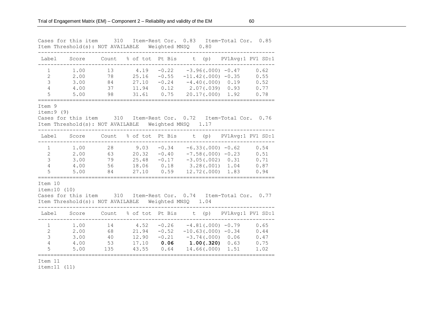|                                                                         |                                      |                             |                                          | ------                                | Cases for this item 310 Item-Rest Cor. 0.83 Item-Total Cor. 0.85<br>Item Threshold(s): NOT AVAILABLE Weighted MNSQ 0.80                     |                      |                                      |
|-------------------------------------------------------------------------|--------------------------------------|-----------------------------|------------------------------------------|---------------------------------------|---------------------------------------------------------------------------------------------------------------------------------------------|----------------------|--------------------------------------|
|                                                                         |                                      |                             |                                          |                                       | Label Score Count % of tot Pt Bis t (p) PV1Avg:1 PV1 SD:1                                                                                   |                      |                                      |
| $\mathbf{1}$<br>$\overline{2}$<br>$\mathcal{S}$<br>$\overline{4}$<br>5  | 1.00<br>2.00<br>3.00<br>4.00<br>5.00 | 13<br>78<br>84<br>37<br>98  | 25.16<br>27.10<br>11.94<br>31.61         | $-0.55$                               | $4.19 -0.22 -3.96(.000) -0.47$<br>$-11.42(.000) -0.35$<br>$-0.24 -4.40(.000) 0.19$<br>$0.12$ $2.07(.039)$ $0.93$<br>$0.75$ 20.17(.000) 1.92 |                      | 0.62<br>0.55<br>0.52<br>0.77<br>0.78 |
| Item 9<br>item: 9(9)                                                    |                                      |                             |                                          |                                       | Cases for this item 310 Item-Rest Cor. 0.72 Item-Total Cor. 0.76<br>Item Threshold(s): NOT AVAILABLE Weighted MNSQ 1.17                     |                      |                                      |
|                                                                         |                                      |                             |                                          |                                       | Label Score Count % of tot Pt Bis t (p) PV1Avg:1 PV1 SD:1                                                                                   |                      |                                      |
| $\mathbf{1}$<br>$\overline{2}$<br>$\mathfrak{Z}$<br>$\overline{4}$<br>5 | 1.00<br>2.00<br>3.00<br>4.00<br>5.00 | 28<br>63<br>79<br>56<br>84  | 9.03<br>20.32<br>25.48<br>18.06<br>27.10 | $-0.34$<br>$-0.40$<br>$-0.17$<br>0.59 | $-6.33(.000)$ $-0.62$<br>$-7.58(.000)$ $-0.23$<br>$-3.05(.002)$ 0.31<br>$0.18$ $3.28(.001)$ $1.04$<br>$12.72(.000)$ 1.83                    | -------------------- | 0.54<br>0.51<br>0.71<br>0.87<br>0.94 |
| Item 10<br>item: 10 (10)                                                |                                      |                             |                                          |                                       | Cases for this item 310 Item-Rest Cor. 0.74 Item-Total Cor. 0.77<br>Item Threshold(s): NOT AVAILABLE Weighted MNSQ 1.04                     |                      |                                      |
| Label                                                                   |                                      |                             |                                          |                                       | Score Count % of tot Pt Bis t (p) PV1Avg:1 PV1 SD:1                                                                                         |                      |                                      |
| $\mathbf{1}$<br>$\overline{2}$<br>$\mathcal{E}$<br>$\overline{4}$<br>5  | 1.00<br>2.00<br>3.00<br>4.00<br>5.00 | 14<br>68<br>40<br>53<br>135 | 4.52<br>21.94<br>12.90<br>17.10<br>43.55 | $-0.52$<br>$-0.21$<br>0.64            | $-0.26 -4.81(.000) -0.79$<br>$-10.63(.000) -0.34$<br>$-3.74(.000)$ 0.06<br>$0.06$ 1.00(.320) 0.63<br>14.66(.000)                            | 1.51                 | 0.65<br>0.44<br>0.47<br>0.75<br>1.02 |
|                                                                         |                                      |                             |                                          |                                       |                                                                                                                                             |                      |                                      |

item:11 (11)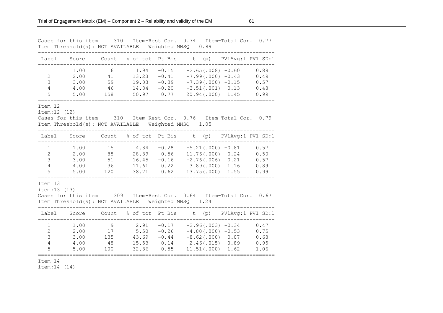|                                                            | Cases for this item 310              |                                         |                                                   |                                                        | Item-Rest Cor. 0.74 Item-Total Cor. 0.77<br>Item Threshold(s): NOT AVAILABLE Weighted MNSQ 0.89                                                          |
|------------------------------------------------------------|--------------------------------------|-----------------------------------------|---------------------------------------------------|--------------------------------------------------------|----------------------------------------------------------------------------------------------------------------------------------------------------------|
| Label                                                      |                                      |                                         |                                                   |                                                        | Score Count % of tot Pt Bis t (p) PV1Avg:1 PV1 SD:1                                                                                                      |
| 1<br>$\overline{2}$<br>3<br>$\overline{4}$<br>5            | 1.00<br>2.00<br>3.00<br>4.00<br>5.00 | 6<br>41<br>59<br>46<br>158              | 1.94<br>13.23<br>19.03<br>14.84                   | $-0.15$<br>$-0.41$<br>$-0.39$<br>$-0.20$<br>50.97 0.77 | $-2.65(.008) -0.60$<br>0.88<br>$-7.99(.000) -0.43$<br>0.49<br>$-7.39(.000) -0.15$<br>0.57<br>$-3.51(.001)$ 0.13<br>0.48<br>$20.94(.000)$ 1.45<br>0.99    |
| Item 12<br>item: 12 (12)                                   |                                      |                                         |                                                   |                                                        | Cases for this item 310 Item-Rest Cor. 0.76 Item-Total Cor. 0.79<br>Item Threshold(s): NOT AVAILABLE Weighted MNSQ 1.05                                  |
| Label                                                      | Score                                |                                         |                                                   |                                                        | Count % of tot Pt Bis t (p) PV1Avg:1 PV1 SD:1                                                                                                            |
| $\mathbf{1}$<br>$\overline{2}$<br>3<br>$\overline{4}$<br>5 | 1.00<br>2.00<br>3.00<br>4.00<br>5.00 | 15<br>88<br>51<br>36<br>120             | 4.84<br>$28.39 - 0.56$<br>16.45<br>11.61<br>38.71 | $-0.16$<br>0.22<br>0.62                                | $-0.28 -5.21(0.00) -0.81$<br>0.57<br>$-11.76(.000) -0.24$<br>0.50<br>$-2.76(.006)$ 0.21<br>0.57<br>$3.89(.000)$ 1.16<br>0.89<br>13.75(.000) 1.55<br>0.99 |
| Item 13<br>item:13(13)                                     |                                      |                                         |                                                   |                                                        | Cases for this item 309 Item-Rest Cor. 0.64 Item-Total Cor. 0.67<br>Item Threshold(s): NOT AVAILABLE Weighted MNSQ 1.24                                  |
| Label                                                      | Score                                | Count                                   |                                                   |                                                        | % of tot Pt Bis t (p) PV1Avg:1 PV1 SD:1                                                                                                                  |
| 1<br>$\overline{2}$<br>3<br>$\overline{4}$<br>5            | 1.00<br>2.00<br>3.00<br>4.00<br>5.00 | $\mathcal{G}$<br>17<br>135<br>48<br>100 | 2.91<br>5.50<br>43.69<br>15.53<br>32.36           | $-0.17$<br>$-0.26$<br>$-0.44$<br>0.14<br>0.55          | $-2.96(.003) -0.34$<br>0.47<br>$-4.80(.000) -0.53$<br>0.75<br>$-8.62(.000)$ 0.07<br>0.68<br>$2.46(.015)$ 0.89<br>0.95<br>11.51(.000) 1.62<br>1.06        |
| Item 14                                                    |                                      |                                         |                                                   |                                                        |                                                                                                                                                          |

item:14 (14)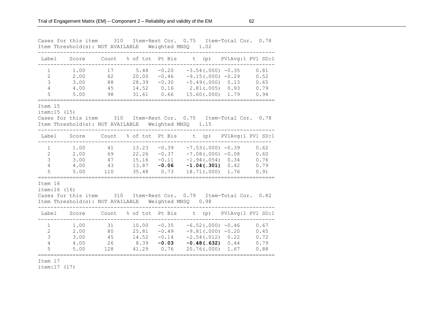|                                                                      |                                      |                             |                                           | Cases for this item 310 Item-Rest Cor. 0.75 Item-Total Cor. 0.78<br>Item Threshold(s): NOT AVAILABLE Weighted MNSQ 1.02<br>------ |             |                                                                                                              |                                      |
|----------------------------------------------------------------------|--------------------------------------|-----------------------------|-------------------------------------------|-----------------------------------------------------------------------------------------------------------------------------------|-------------|--------------------------------------------------------------------------------------------------------------|--------------------------------------|
|                                                                      |                                      |                             |                                           | Label Score Count % of tot Pt Bis t (p) PV1Avg:1 PV1 SD:1                                                                         |             |                                                                                                              |                                      |
| $\mathbf{1}$<br>$\mathbf{2}$<br>$\mathcal{E}$<br>$\overline{4}$<br>5 | 1.00<br>2.00<br>3.00<br>4.00<br>5.00 | 17<br>62<br>88<br>45<br>98  | 5.48<br>20.00<br>28.39<br>14.52<br>31.61  | $-0.20$<br>$-0.46$<br>$-0.30$<br>0.16<br>0.66                                                                                     |             | $-3.54(.000) -0.35$<br>$-9.15(.000) -0.29$<br>$-5.49(.000)$ 0.13<br>$2.81(.005)$ 0.93<br>$15.60(0.000)$ 1.79 | 0.81<br>0.52<br>0.65<br>0.79<br>0.94 |
| Item 15<br>item: 15 (15)                                             |                                      |                             |                                           | Cases for this item 310 Item-Rest Cor. 0.75 Item-Total Cor. 0.78<br>Item Threshold(s): NOT AVAILABLE Weighted MNSQ 1.15           |             |                                                                                                              |                                      |
|                                                                      |                                      |                             |                                           | Label Score Count % of tot Pt Bis t (p) PV1Avg:1 PV1 SD:1                                                                         |             |                                                                                                              |                                      |
| $\mathbf{1}$<br>$2^{\circ}$<br>$\mathcal{S}$<br>$\overline{4}$<br>5  | 1.00<br>2.00<br>3.00<br>4.00<br>5.00 | 41<br>69<br>47<br>43<br>110 | 13.23<br>22.26<br>15.16<br>13.87<br>35.48 | $-0.39$<br>$-0.37$<br>$-0.11$<br>$-0.06$<br>0.73                                                                                  |             | $-7.53(.000)$ $-0.39$<br>$-7.08(.000) -0.08$<br>$-1.94(.054)$ 0.34<br>$-1.04(.301)$ 0.42<br>18.71(.000) 1.76 | 0.62<br>0.60<br>0.76<br>0.79<br>0.91 |
| Item 16<br>item: 16 (16)                                             |                                      |                             |                                           | Cases for this item 310 Item-Rest Cor. 0.79 Item-Total Cor. 0.82<br>Item Threshold(s): NOT AVAILABLE Weighted MNSQ 0.98           |             |                                                                                                              |                                      |
| Label                                                                |                                      |                             |                                           | Score Count % of tot Pt Bis t (p) PV1Avg:1 PV1 SD:1                                                                               |             |                                                                                                              |                                      |
| $\mathbf 1$<br>$\mathbf{2}$<br>3<br>$\overline{4}$<br>5              | 1.00<br>2.00<br>3.00<br>4.00<br>5.00 | 31<br>80<br>45<br>26<br>128 | 10.00<br>25.81<br>14.52<br>8.39<br>41.29  | $-0.35$<br>$-0.49$<br>$-0.14$<br>$-0.03$<br>0.76                                                                                  | 20.76(.000) | $-6.52(.000)$ $-0.46$<br>$-9.81(.000) -0.20$<br>$-2.54(.012)$ 0.22<br>$-0.48(.632)$ 0.44<br>1.67             | 0.67<br>0.45<br>0.72<br>0.79<br>0.88 |
|                                                                      |                                      |                             |                                           |                                                                                                                                   |             |                                                                                                              |                                      |

item:17 (17)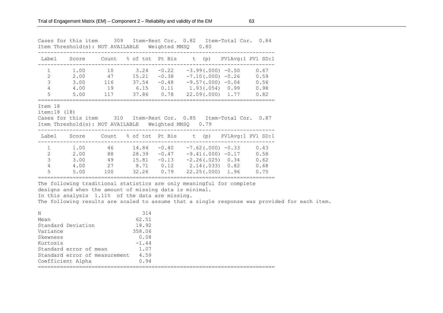|                                               |                                                                |                                                                                                                                                                                        | --------------- | Cases for this item 309 Item-Rest Cor. 0.82 Item-Total Cor. 0.84<br>Item Threshold(s): NOT AVAILABLE Weighted MNSQ 0.80                                                                                                                                                                                                                                                                              |  |  |
|-----------------------------------------------|----------------------------------------------------------------|----------------------------------------------------------------------------------------------------------------------------------------------------------------------------------------|-----------------|------------------------------------------------------------------------------------------------------------------------------------------------------------------------------------------------------------------------------------------------------------------------------------------------------------------------------------------------------------------------------------------------------|--|--|
|                                               |                                                                |                                                                                                                                                                                        |                 | Label Score Count % of tot Pt Bis t (p) PV1Avg:1 PV1 SD:1<br>------------------------                                                                                                                                                                                                                                                                                                                |  |  |
|                                               |                                                                |                                                                                                                                                                                        |                 | $\begin{array}{cccccccc} 1 & 1.00 & 10 & 3.24 & -0.22 & -3.99(.000) & -0.50 & 0.67 \\ 2 & 2.00 & 47 & 15.21 & -0.38 & -7.10(.000) & -0.26 & 0.59 \\ 3 & 3.00 & 116 & 37.54 & -0.48 & -9.57(.000) & -0.04 & 0.56 \end{array}$<br>4 4.00 19 6.15 0.11 1.93(.054) 0.99 0.98<br>5 5.00 117 37.86 0.78 22.09(.000) 1.77 0.82                                                                              |  |  |
| Item 18<br>item: 18 (18)                      |                                                                |                                                                                                                                                                                        |                 | Cases for this item 310 Item-Rest Cor. 0.85 Item-Total Cor. 0.87<br>Item Threshold(s): NOT AVAILABLE Weighted MNSQ 0.79                                                                                                                                                                                                                                                                              |  |  |
|                                               |                                                                |                                                                                                                                                                                        |                 | Label Score Count % of tot Pt Bis t (p) PV1Avg:1 PV1 SD:1                                                                                                                                                                                                                                                                                                                                            |  |  |
|                                               |                                                                |                                                                                                                                                                                        |                 | $\begin{array}{cccccccc} 1 & 1.00 & 46 & 14.84 & -0.40 & -7.62\,(.\,000) & -0.33 & 0.43 \\ 2 & 2.00 & 88 & 28.39 & -0.47 & -9.41\,(.\,000) & -0.17 & 0.58 \\ 3 & 3.00 & 49 & 15.81 & -0.13 & -2.26\,(.\,025) & 0.34 & 0.62 \end{array}$<br>$\begin{array}{cccccccc} 4 & 4.00 & 27 & 8.71 & 0.12 & 2.14(.033) & 0.82 & 0.68 \\ 5 & 5.00 & 100 & 32.26 & 0.79 & 22.25(.000) & 1.96 & 0.75 \end{array}$ |  |  |
| N<br>Mean<br>Variance<br>Skewness<br>Kurtosis | Standard Deviation 18.92<br>Standard error of measurement 4.59 | designs and when the amount of missing data is minimal.<br>In this analysis 1.11% of the data are missing.<br>314<br>62.51<br>358.06<br>0.08<br>$-1.44$<br>Standard error of mean 1.07 |                 | The following traditional statistics are only meaningful for complete<br>The following results are scaled to assume that a single response was provided for each item.                                                                                                                                                                                                                               |  |  |
|                                               | Coefficient Alpha 0.94                                         |                                                                                                                                                                                        |                 |                                                                                                                                                                                                                                                                                                                                                                                                      |  |  |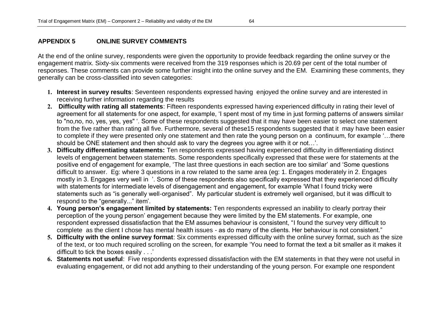## **APPENDIX 5 ONLINE SURVEY COMMENTS**

At the end of the online survey, respondents were given the opportunity to provide feedback regarding the online survey or the engagement matrix. Sixty-six comments were received from the 319 responses which is 20.69 per cent of the total number of responses. These comments can provide some further insight into the online survey and the EM. Examining these comments, they generally can be cross-classified into seven categories:

- **1. Interest in survey results**: Seventeen respondents expressed having enjoyed the online survey and are interested in receiving further information regarding the results
- **2. Difficulty with rating all statements**: Fifteen respondents expressed having experienced difficulty in rating their level of agreement for all statements for one aspect, for example, "I spent most of my time in just forming patterns of answers similar to "no,no, no, yes, yes, yes" ". Some of these respondents suggested that it may have been easier to select one statement from the five rather than rating all five. Furthermore, several of these15 respondents suggested that it may have been easier to complete if they were presented only one statement and then rate the young person on a continuum, for example "…there should be ONE statement and then should ask to vary the degrees you agree with it or not...'.
- **3. Difficulty differentiating statements:** Ten respondents expressed having experienced difficulty in differentiating distinct levels of engagement between statements. Some respondents specifically expressed that these were for statements at the positive end of engagement for example, "The last three questions in each section are too similar" and "Some questions difficult to answer. Eg: where 3 questions in a row related to the same area (eg: 1. Engages moderately in 2. Engages mostly in 3. Engages very well in ". Some of these respondents also specifically expressed that they experienced difficulty with statements for intermediate levels of disengagement and engagement, for example "What I found tricky were statements such as "is generally well-organised". My particular student is extremely well organised, but it was difficult to respond to the "generally..." item".
- **4. Young person's engagement limited by statements:** Ten respondents expressed an inability to clearly portray their perception of the young person" engagement because they were limited by the EM statements. For example, one respondent expressed dissatisfaction that the EM assumes behaviour is consistent, "I found the survey very difficult to complete as the client I chose has mental health issues - as do many of the clients. Her behaviour is not consistent."
- **5. Difficulty with the online survey format**: Six comments expressed difficulty with the online survey format, such as the size of the text, or too much required scrolling on the screen, for example "You need to format the text a bit smaller as it makes it difficult to tick the boxes easily . . .'
- **6. Statements not useful**: Five respondents expressed dissatisfaction with the EM statements in that they were not useful in evaluating engagement, or did not add anything to their understanding of the young person. For example one respondent